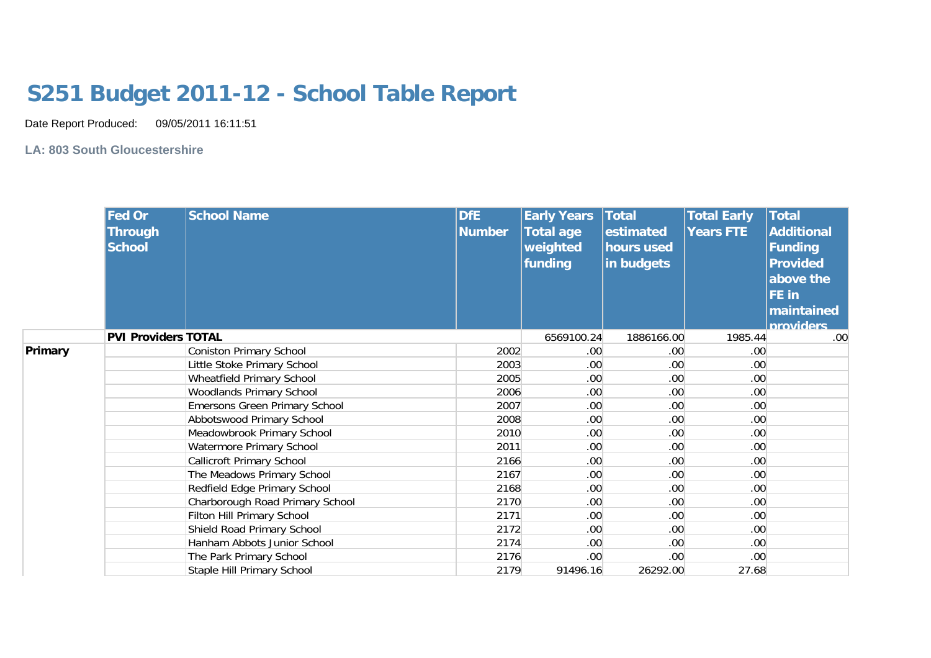## **S251 Budget 2011-12 - School Table Report**

Date Report Produced: 09/05/2011 16:11:51

**LA: 803 South Gloucestershire**

|         | <b>Fed Or</b><br><b>Through</b><br><b>School</b> | <b>School Name</b>               | <b>DfE</b><br><b>Number</b> | <b>Early Years</b><br><b>Total age</b><br>weighted<br>funding | Total<br>estimated<br>hours used<br>in budgets | <b>Total Early</b><br><b>Years FTE</b> | <b>Total</b><br><b>Additional</b><br>Funding<br><b>Provided</b><br>above the<br><b>FE</b> in<br>maintained<br><b>Inroviders</b> |
|---------|--------------------------------------------------|----------------------------------|-----------------------------|---------------------------------------------------------------|------------------------------------------------|----------------------------------------|---------------------------------------------------------------------------------------------------------------------------------|
|         | <b>PVI Providers TOTAL</b>                       |                                  |                             | 6569100.24                                                    | 1886166.00                                     | 1985.44                                | .00                                                                                                                             |
| Primary |                                                  | <b>Coniston Primary School</b>   | 2002                        | .00 <sub>1</sub>                                              | .00.                                           | .00                                    |                                                                                                                                 |
|         |                                                  | Little Stoke Primary School      | 2003                        | .00 <sub>1</sub>                                              | .00                                            | .00                                    |                                                                                                                                 |
|         |                                                  | Wheatfield Primary School        | 2005                        | .00 <sub>1</sub>                                              | .00.                                           | .00                                    |                                                                                                                                 |
|         |                                                  | <b>Woodlands Primary School</b>  | 2006                        | .00.                                                          | .00.                                           | .00 <sub>1</sub>                       |                                                                                                                                 |
|         |                                                  | Emersons Green Primary School    | 2007                        | .00 <sub>1</sub>                                              | .00.                                           | .00 <sub>1</sub>                       |                                                                                                                                 |
|         |                                                  | Abbotswood Primary School        | 2008                        | .00 <sub>1</sub>                                              | .00                                            | .00                                    |                                                                                                                                 |
|         |                                                  | Meadowbrook Primary School       | 2010                        | .00 <sub>1</sub>                                              | .00.                                           | .00                                    |                                                                                                                                 |
|         |                                                  | Watermore Primary School         | 2011                        | .00                                                           | .00.                                           | .00 <sub>1</sub>                       |                                                                                                                                 |
|         |                                                  | <b>Callicroft Primary School</b> | 2166                        | .00 <sub>1</sub>                                              | .00.                                           | .00 <sub>1</sub>                       |                                                                                                                                 |
|         |                                                  | The Meadows Primary School       | 2167                        | .00 <sub>1</sub>                                              | .00                                            | .00                                    |                                                                                                                                 |
|         |                                                  | Redfield Edge Primary School     | 2168                        | .00 <sub>1</sub>                                              | .00.                                           | .00                                    |                                                                                                                                 |
|         |                                                  | Charborough Road Primary School  | 2170                        | .00.                                                          | .00.                                           | .00                                    |                                                                                                                                 |
|         |                                                  | Filton Hill Primary School       | 2171                        | .00 <sub>1</sub>                                              | .00                                            | .00 <sub>1</sub>                       |                                                                                                                                 |
|         |                                                  | Shield Road Primary School       | 2172                        | .00 <sub>1</sub>                                              | .00                                            | .00                                    |                                                                                                                                 |
|         |                                                  | Hanham Abbots Junior School      | 2174                        | .00 <sub>1</sub>                                              | .00.                                           | .00                                    |                                                                                                                                 |
|         |                                                  | The Park Primary School          | 2176                        | .00 <sub>1</sub>                                              | .00.                                           | .00 <sub>1</sub>                       |                                                                                                                                 |
|         |                                                  | Staple Hill Primary School       | 2179                        | 91496.16                                                      | 26292.00                                       | 27.68                                  |                                                                                                                                 |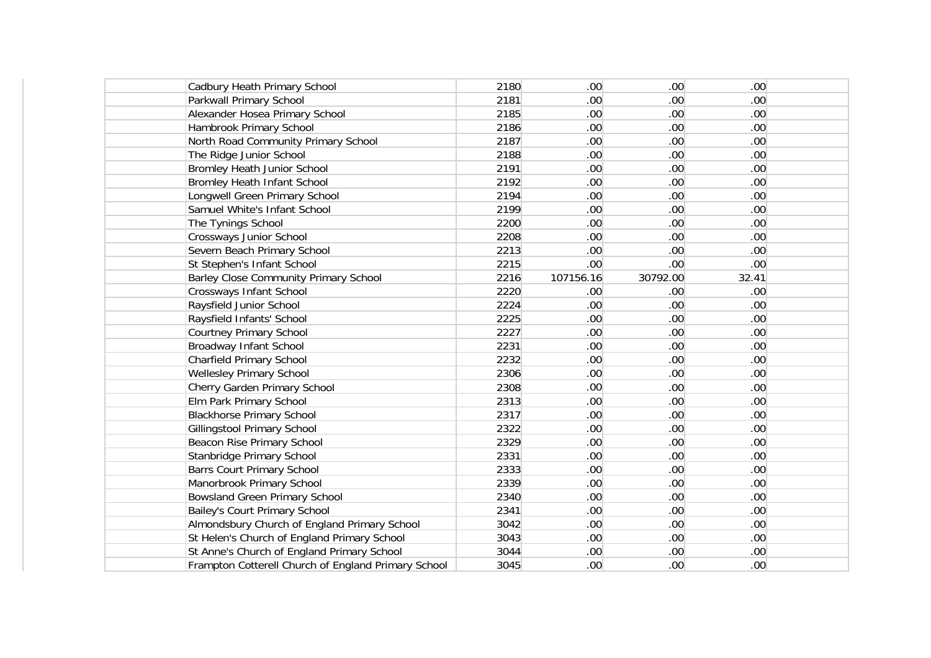| Cadbury Heath Primary School                        | 2180 | .00 <sub>1</sub> | .00.             | .00              |  |
|-----------------------------------------------------|------|------------------|------------------|------------------|--|
| Parkwall Primary School                             | 2181 | .00 <sub>1</sub> | .00.             | .00 <sub>1</sub> |  |
| Alexander Hosea Primary School                      | 2185 | .00 <sub>1</sub> | .00 <sub>1</sub> | .00 <sub>1</sub> |  |
| Hambrook Primary School                             | 2186 | .00              | .00 <sub>1</sub> | .00              |  |
| North Road Community Primary School                 | 2187 | .00 <sub>1</sub> | .00 <sub>1</sub> | .00              |  |
| The Ridge Junior School                             | 2188 | .00 <sub>1</sub> | .00 <sub>1</sub> | .00              |  |
| <b>Bromley Heath Junior School</b>                  | 2191 | .00 <sub>1</sub> | .00 <sub>1</sub> | .00              |  |
| <b>Bromley Heath Infant School</b>                  | 2192 | .00 <sub>1</sub> | .00 <sub>1</sub> | .00              |  |
| Longwell Green Primary School                       | 2194 | .00 <sub>1</sub> | .00 <sub>1</sub> | .00 <sub>1</sub> |  |
| Samuel White's Infant School                        | 2199 | .00 <sub>1</sub> | .00 <sub>1</sub> | .00 <sub>1</sub> |  |
| The Tynings School                                  | 2200 | .00 <sub>1</sub> | .00 <sub>1</sub> | .00 <sub>1</sub> |  |
| Crossways Junior School                             | 2208 | .00 <sub>1</sub> | .00 <sub>1</sub> | .00 <sub>1</sub> |  |
| Severn Beach Primary School                         | 2213 | .00 <sub>1</sub> | .00 <sub>1</sub> | .00 <sub>1</sub> |  |
| St Stephen's Infant School                          | 2215 | .00.             | .00.             | .00              |  |
| <b>Barley Close Community Primary School</b>        | 2216 | 107156.16        | 30792.00         | 32.41            |  |
| Crossways Infant School                             | 2220 | .00              | .00.             | .00 <sub>1</sub> |  |
| Raysfield Junior School                             | 2224 | .00 <sub>1</sub> | .00 <sub>1</sub> | .00 <sub>1</sub> |  |
| Raysfield Infants' School                           | 2225 | .00              | .00 <sub>1</sub> | .00              |  |
| <b>Courtney Primary School</b>                      | 2227 | .00 <sub>1</sub> | .00 <sub>1</sub> | .00              |  |
| Broadway Infant School                              | 2231 | .00 <sub>1</sub> | .00 <sub>1</sub> | .00              |  |
| <b>Charfield Primary School</b>                     | 2232 | .00 <sub>1</sub> | .00 <sub>1</sub> | .00 <sub>1</sub> |  |
| <b>Wellesley Primary School</b>                     | 2306 | .00 <sub>1</sub> | .00 <sub>1</sub> | .00 <sub>1</sub> |  |
| Cherry Garden Primary School                        | 2308 | .00 <sub>1</sub> | .00 <sub>1</sub> | .00 <sub>1</sub> |  |
| Elm Park Primary School                             | 2313 | .00 <sub>1</sub> | .00 <sub>1</sub> | .00 <sub>1</sub> |  |
| <b>Blackhorse Primary School</b>                    | 2317 | .00 <sub>1</sub> | .00 <sub>1</sub> | .00 <sub>1</sub> |  |
| <b>Gillingstool Primary School</b>                  | 2322 | .00 <sub>1</sub> | .00 <sub>1</sub> | .00 <sub>1</sub> |  |
| Beacon Rise Primary School                          | 2329 | .00 <sub>1</sub> | .00 <sub>1</sub> | .00 <sub>1</sub> |  |
| Stanbridge Primary School                           | 2331 | .00.             | .00.             | .00 <sub>1</sub> |  |
| <b>Barrs Court Primary School</b>                   | 2333 | .00 <sub>1</sub> | .00 <sub>1</sub> | .00 <sub>1</sub> |  |
| Manorbrook Primary School                           | 2339 | .00 <sub>1</sub> | .00 <sub>1</sub> | .00 <sub>1</sub> |  |
| <b>Bowsland Green Primary School</b>                | 2340 | .00.             | .00.             | .00              |  |
| Bailey's Court Primary School                       | 2341 | .00 <sub>1</sub> | .00 <sub>1</sub> | .00              |  |
| Almondsbury Church of England Primary School        | 3042 | .00 <sub>1</sub> | .00 <sub>1</sub> | .00              |  |
| St Helen's Church of England Primary School         | 3043 | .00 <sub>1</sub> | .00 <sub>1</sub> | .00              |  |
| St Anne's Church of England Primary School          | 3044 | .00 <sub>1</sub> | .00 <sub>1</sub> | .00              |  |
| Frampton Cotterell Church of England Primary School | 3045 | .00 <sub>1</sub> | .00 <sub>1</sub> | .00              |  |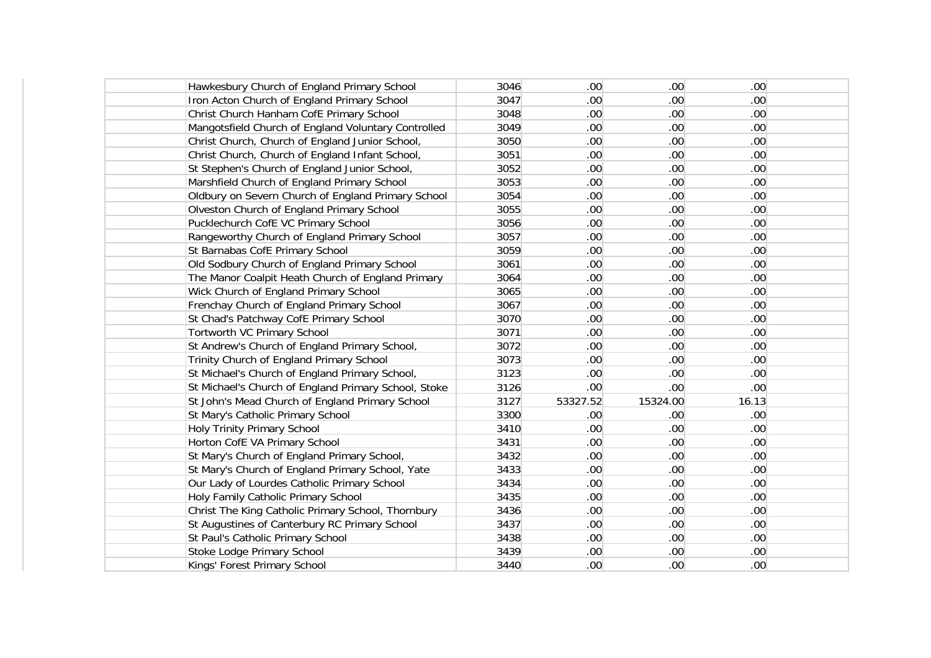| Hawkesbury Church of England Primary School          | 3046 | .00.             | .00 <sub>1</sub> | .00 <sub>1</sub> |  |
|------------------------------------------------------|------|------------------|------------------|------------------|--|
| Iron Acton Church of England Primary School          | 3047 | .00.             | .00 <sub>1</sub> | .00 <sub>1</sub> |  |
| Christ Church Hanham CofE Primary School             | 3048 | .00 <sub>1</sub> | .00 <sub>1</sub> | .00 <sub>1</sub> |  |
| Mangotsfield Church of England Voluntary Controlled  | 3049 | .00.             | .00 <sub>1</sub> | .00 <sub>1</sub> |  |
| Christ Church, Church of England Junior School,      | 3050 | .00 <sub>1</sub> | .00 <sub>1</sub> | .00 <sub>1</sub> |  |
| Christ Church, Church of England Infant School,      | 3051 | .00 <sub>1</sub> | .00 <sub>1</sub> | .00 <sub>1</sub> |  |
| St Stephen's Church of England Junior School,        | 3052 | .00 <sub>1</sub> | .00 <sub>1</sub> | .00 <sub>1</sub> |  |
| Marshfield Church of England Primary School          | 3053 | .00 <sub>1</sub> | .00 <sub>1</sub> | .00 <sub>1</sub> |  |
| Oldbury on Severn Church of England Primary School   | 3054 | .00 <sub>1</sub> | .00 <sub>1</sub> | .00 <sub>1</sub> |  |
| Olveston Church of England Primary School            | 3055 | .00 <sub>1</sub> | .00 <sub>1</sub> | .00 <sub>1</sub> |  |
| Pucklechurch CofE VC Primary School                  | 3056 | .00 <sub>1</sub> | .00 <sub>1</sub> | .00 <sub>1</sub> |  |
| Rangeworthy Church of England Primary School         | 3057 | .00              | .00 <sub>1</sub> | .00 <sub>1</sub> |  |
| St Barnabas CofE Primary School                      | 3059 | .00 <sub>1</sub> | .00 <sub>1</sub> | .00 <sub>1</sub> |  |
| Old Sodbury Church of England Primary School         | 3061 | .00 <sub>1</sub> | .00 <sub>1</sub> | .00 <sub>1</sub> |  |
| The Manor Coalpit Heath Church of England Primary    | 3064 | .00              | .00 <sub>1</sub> | .00 <sub>1</sub> |  |
| Wick Church of England Primary School                | 3065 | .00              | .00 <sub>1</sub> | .00              |  |
| Frenchay Church of England Primary School            | 3067 | .00 <sub>1</sub> | .00 <sub>1</sub> | .00 <sub>1</sub> |  |
| St Chad's Patchway CofE Primary School               | 3070 | .00 <sub>1</sub> | .00 <sub>1</sub> | .00 <sub>1</sub> |  |
| Tortworth VC Primary School                          | 3071 | .00              | .00 <sub>1</sub> | .00 <sub>1</sub> |  |
| St Andrew's Church of England Primary School,        | 3072 | .00 <sub>1</sub> | .00 <sub>1</sub> | .00 <sub>1</sub> |  |
| Trinity Church of England Primary School             | 3073 | .00 <sub>1</sub> | .00 <sub>1</sub> | .00 <sub>1</sub> |  |
| St Michael's Church of England Primary School,       | 3123 | .00 <sub>1</sub> | .00 <sub>1</sub> | .00 <sub>1</sub> |  |
| St Michael's Church of England Primary School, Stoke | 3126 | .00 <sub>1</sub> | .00 <sub>1</sub> | .00 <sub>1</sub> |  |
| St John's Mead Church of England Primary School      | 3127 | 53327.52         | 15324.00         | 16.13            |  |
| St Mary's Catholic Primary School                    | 3300 | .00.             | .00 <sub>1</sub> | .00 <sub>1</sub> |  |
| Holy Trinity Primary School                          | 3410 | .00 <sub>1</sub> | .00 <sub>1</sub> | .00 <sub>1</sub> |  |
| Horton CofE VA Primary School                        | 3431 | .00 <sub>1</sub> | .00 <sub>1</sub> | .00 <sub>1</sub> |  |
| St Mary's Church of England Primary School,          | 3432 | .00              | .00 <sub>1</sub> | .00 <sub>1</sub> |  |
| St Mary's Church of England Primary School, Yate     | 3433 | .00 <sub>1</sub> | .00 <sub>1</sub> | .00 <sub>1</sub> |  |
| Our Lady of Lourdes Catholic Primary School          | 3434 | .00 <sub>1</sub> | .00 <sub>1</sub> | .00 <sub>1</sub> |  |
| Holy Family Catholic Primary School                  | 3435 | .00              | .00 <sub>1</sub> | .00 <sub>1</sub> |  |
| Christ The King Catholic Primary School, Thornbury   | 3436 | .00              | .00 <sub>1</sub> | .00 <sub>1</sub> |  |
| St Augustines of Canterbury RC Primary School        | 3437 | .00 <sub>1</sub> | .00 <sub>1</sub> | .00 <sub>1</sub> |  |
| St Paul's Catholic Primary School                    | 3438 | .00 <sub>1</sub> | .00 <sub>1</sub> | .00 <sub>1</sub> |  |
| Stoke Lodge Primary School                           | 3439 | .00 <sub>1</sub> | .00 <sub>1</sub> | .00 <sub>1</sub> |  |
| Kings' Forest Primary School                         | 3440 | .00 <sub>1</sub> | .00 <sub>1</sub> | .00 <sub>1</sub> |  |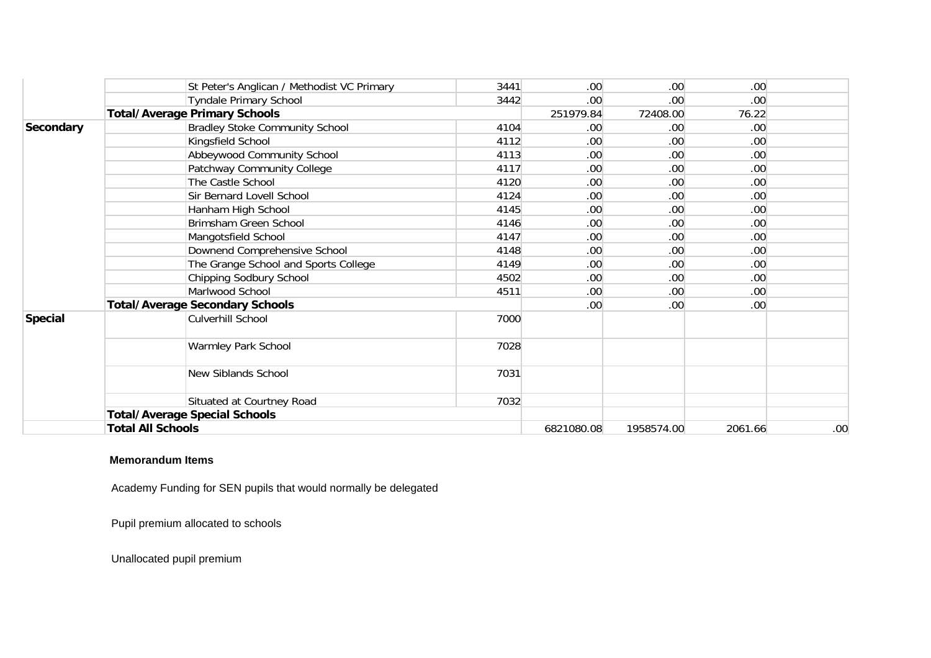|                  | St Peter's Anglican / Methodist VC Primary | 3441 | .00 <sub>1</sub> | .00 <sub>1</sub> | .00 <sub>1</sub> |     |
|------------------|--------------------------------------------|------|------------------|------------------|------------------|-----|
|                  | <b>Tyndale Primary School</b>              | 3442 | .00 <sub>1</sub> | .00 <sub>1</sub> | .00 <sub>1</sub> |     |
|                  | <b>Total/Average Primary Schools</b>       |      | 251979.84        | 72408.00         | 76.22            |     |
| <b>Secondary</b> | <b>Bradley Stoke Community School</b>      | 4104 | .00 <sub>1</sub> | .00              | .00 <sub>1</sub> |     |
|                  | Kingsfield School                          | 4112 | .00 <sub>1</sub> | .00.             | .00.             |     |
|                  | Abbeywood Community School                 | 4113 | .00 <sub>1</sub> | .00 <sub>1</sub> | .00 <sub>1</sub> |     |
|                  | Patchway Community College                 | 4117 | .00 <sub>1</sub> | .00              | .00.             |     |
|                  | The Castle School                          | 4120 | .00 <sub>1</sub> | .00              | .00 <sub>1</sub> |     |
|                  | Sir Bernard Lovell School                  | 4124 | .00 <sub>1</sub> | .00 <sub>1</sub> | .00 <sub>1</sub> |     |
|                  | Hanham High School                         | 4145 | .00 <sub>1</sub> | .00 <sub>1</sub> | .00 <sub>1</sub> |     |
|                  | Brimsham Green School                      | 4146 | .00 <sub>1</sub> | .00              | .00              |     |
|                  | Mangotsfield School                        | 4147 | .00 <sub>1</sub> | .00.             | .00.             |     |
|                  | Downend Comprehensive School               | 4148 | .00 <sub>1</sub> | .00 <sub>1</sub> | .00 <sub>1</sub> |     |
|                  | The Grange School and Sports College       | 4149 | .00 <sub>1</sub> | .00              | .00 <sub>1</sub> |     |
|                  | Chipping Sodbury School                    | 4502 | .00 <sub>1</sub> | .00              | .00 <sub>1</sub> |     |
|                  | Marlwood School                            | 4511 | .00 <sub>1</sub> | .00 <sub>1</sub> | .00              |     |
|                  | <b>Total/Average Secondary Schools</b>     |      | .00 <sub>1</sub> | .00 <sub>1</sub> | .00 <sub>1</sub> |     |
| <b>Special</b>   | Culverhill School                          | 7000 |                  |                  |                  |     |
|                  | Warmley Park School                        | 7028 |                  |                  |                  |     |
|                  | New Siblands School                        | 7031 |                  |                  |                  |     |
|                  | Situated at Courtney Road                  | 7032 |                  |                  |                  |     |
|                  | <b>Total/Average Special Schools</b>       |      |                  |                  |                  |     |
|                  | <b>Total All Schools</b>                   |      | 6821080.08       | 1958574.00       | 2061.66          | .00 |

## **Memorandum Items**

Academy Funding for SEN pupils that would normally be delegated

Pupil premium allocated to schools

Unallocated pupil premium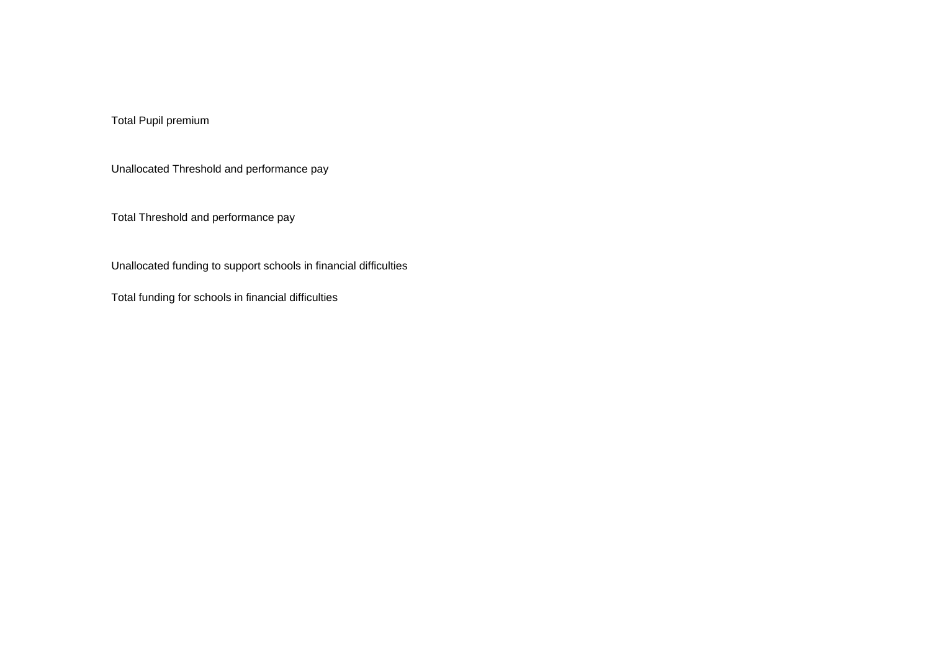Total Pupil premium

Unallocated Threshold and performance pay

Total Threshold and performance pay

Unallocated funding to support schools in financial difficulties

Total funding for schools in financial difficulties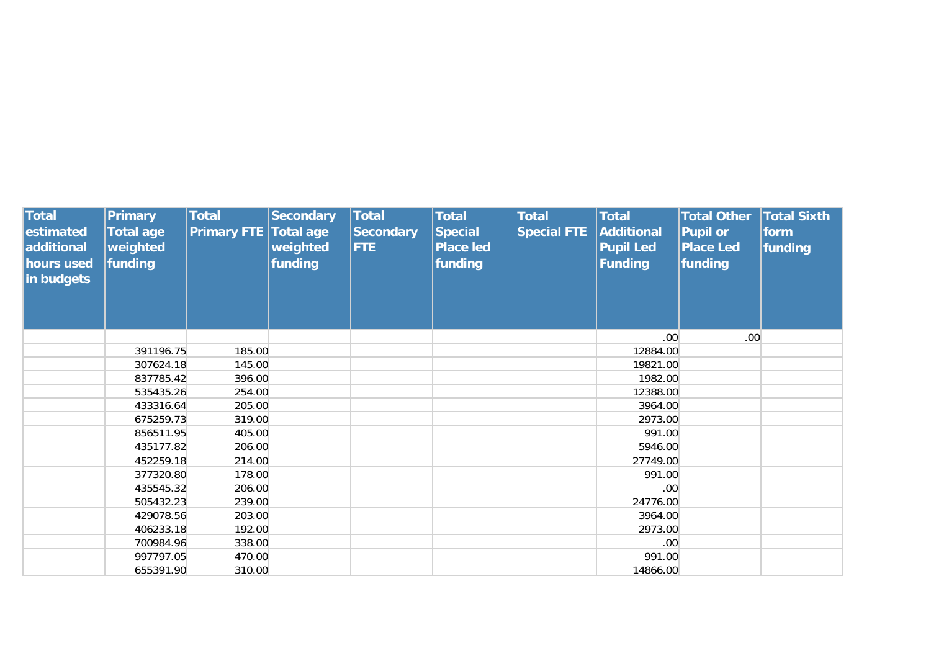| <b>Total</b><br>estimated<br>additional<br>hours used<br>in budgets | <b>Primary</b><br><b>Total age</b><br>weighted<br>funding | <b>Total</b><br><b>Primary FTE</b> | <b>Secondary</b><br><b>Total age</b><br>weighted<br>funding | <b>Total</b><br><b>Secondary</b><br><b>FTE</b> | <b>Total</b><br><b>Special</b><br><b>Place led</b><br>funding | <b>Total</b><br><b>Special FTE</b> | <b>Total</b><br>Additional<br><b>Pupil Led</b><br><b>Funding</b> | <b>Total Other</b><br><b>Pupil or</b><br><b>Place Led</b><br>funding | <b>Total Sixth</b><br>form<br>funding |
|---------------------------------------------------------------------|-----------------------------------------------------------|------------------------------------|-------------------------------------------------------------|------------------------------------------------|---------------------------------------------------------------|------------------------------------|------------------------------------------------------------------|----------------------------------------------------------------------|---------------------------------------|
|                                                                     |                                                           |                                    |                                                             |                                                |                                                               |                                    | .00 <sub>1</sub>                                                 | .00 <sub>1</sub>                                                     |                                       |
|                                                                     | 391196.75                                                 | 185.00                             |                                                             |                                                |                                                               |                                    | 12884.00                                                         |                                                                      |                                       |
|                                                                     | 307624.18                                                 | 145.00                             |                                                             |                                                |                                                               |                                    | 19821.00                                                         |                                                                      |                                       |
|                                                                     | 837785.42                                                 | 396.00                             |                                                             |                                                |                                                               |                                    | 1982.00                                                          |                                                                      |                                       |
|                                                                     | 535435.26                                                 | 254.00                             |                                                             |                                                |                                                               |                                    | 12388.00                                                         |                                                                      |                                       |
|                                                                     | 433316.64                                                 | 205.00                             |                                                             |                                                |                                                               |                                    | 3964.00                                                          |                                                                      |                                       |
|                                                                     | 675259.73                                                 | 319.00                             |                                                             |                                                |                                                               |                                    | 2973.00                                                          |                                                                      |                                       |
|                                                                     | 856511.95                                                 | 405.00                             |                                                             |                                                |                                                               |                                    | 991.00                                                           |                                                                      |                                       |
|                                                                     | 435177.82                                                 | 206.00                             |                                                             |                                                |                                                               |                                    | 5946.00                                                          |                                                                      |                                       |
|                                                                     | 452259.18                                                 | 214.00                             |                                                             |                                                |                                                               |                                    | 27749.00                                                         |                                                                      |                                       |
|                                                                     | 377320.80                                                 | 178.00                             |                                                             |                                                |                                                               |                                    | 991.00                                                           |                                                                      |                                       |
|                                                                     | 435545.32                                                 | 206.00                             |                                                             |                                                |                                                               |                                    | .00 <sub>1</sub>                                                 |                                                                      |                                       |
|                                                                     | 505432.23                                                 | 239.00                             |                                                             |                                                |                                                               |                                    | 24776.00                                                         |                                                                      |                                       |
|                                                                     | 429078.56                                                 | 203.00                             |                                                             |                                                |                                                               |                                    | 3964.00                                                          |                                                                      |                                       |
|                                                                     | 406233.18                                                 | 192.00                             |                                                             |                                                |                                                               |                                    | 2973.00                                                          |                                                                      |                                       |
|                                                                     | 700984.96                                                 | 338.00                             |                                                             |                                                |                                                               |                                    | .00 <sub>1</sub>                                                 |                                                                      |                                       |
|                                                                     | 997797.05                                                 | 470.00                             |                                                             |                                                |                                                               |                                    | 991.00                                                           |                                                                      |                                       |
|                                                                     | 655391.90                                                 | 310.00                             |                                                             |                                                |                                                               |                                    | 14866.00                                                         |                                                                      |                                       |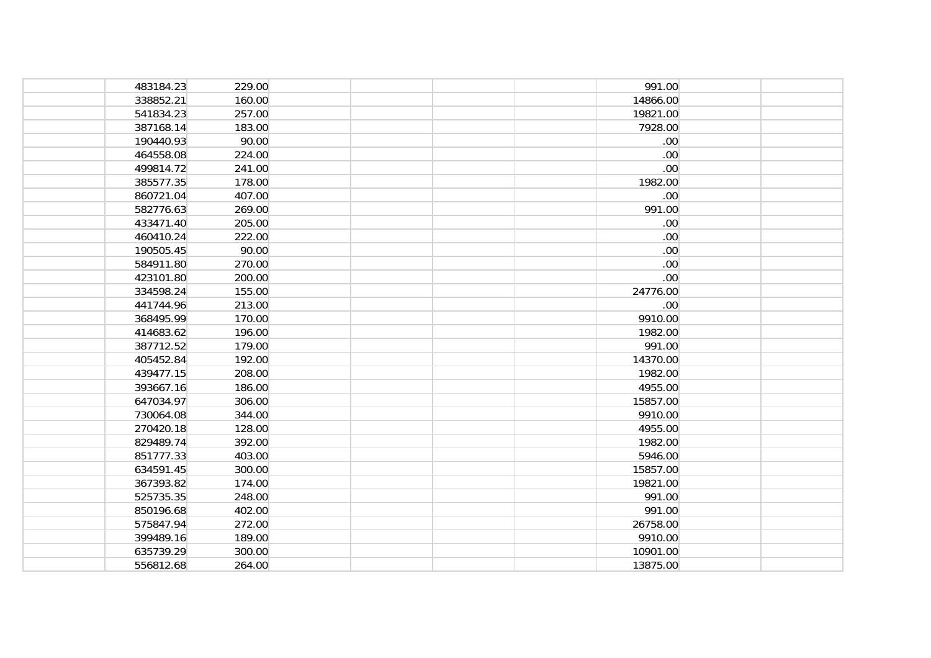| 483184.23 | 229.00 |  | 991.00           |  |
|-----------|--------|--|------------------|--|
| 338852.21 | 160.00 |  | 14866.00         |  |
| 541834.23 | 257.00 |  | 19821.00         |  |
| 387168.14 | 183.00 |  | 7928.00          |  |
| 190440.93 | 90.00  |  | .00              |  |
| 464558.08 | 224.00 |  | .00              |  |
| 499814.72 | 241.00 |  | .00              |  |
| 385577.35 | 178.00 |  | 1982.00          |  |
| 860721.04 | 407.00 |  | .00 <sub>1</sub> |  |
| 582776.63 | 269.00 |  | 991.00           |  |
| 433471.40 | 205.00 |  | .00              |  |
| 460410.24 | 222.00 |  | .00              |  |
| 190505.45 | 90.00  |  | .00              |  |
| 584911.80 | 270.00 |  | .00              |  |
| 423101.80 | 200.00 |  | .00              |  |
| 334598.24 | 155.00 |  | 24776.00         |  |
| 441744.96 | 213.00 |  | .00 <sub>1</sub> |  |
| 368495.99 | 170.00 |  | 9910.00          |  |
| 414683.62 | 196.00 |  | 1982.00          |  |
| 387712.52 | 179.00 |  | 991.00           |  |
| 405452.84 | 192.00 |  | 14370.00         |  |
| 439477.15 | 208.00 |  | 1982.00          |  |
| 393667.16 | 186.00 |  | 4955.00          |  |
| 647034.97 | 306.00 |  | 15857.00         |  |
| 730064.08 | 344.00 |  | 9910.00          |  |
| 270420.18 | 128.00 |  | 4955.00          |  |
| 829489.74 | 392.00 |  | 1982.00          |  |
| 851777.33 | 403.00 |  | 5946.00          |  |
| 634591.45 | 300.00 |  | 15857.00         |  |
| 367393.82 | 174.00 |  | 19821.00         |  |
| 525735.35 | 248.00 |  | 991.00           |  |
| 850196.68 | 402.00 |  | 991.00           |  |
| 575847.94 | 272.00 |  | 26758.00         |  |
| 399489.16 | 189.00 |  | 9910.00          |  |
| 635739.29 | 300.00 |  | 10901.00         |  |
| 556812.68 | 264.00 |  | 13875.00         |  |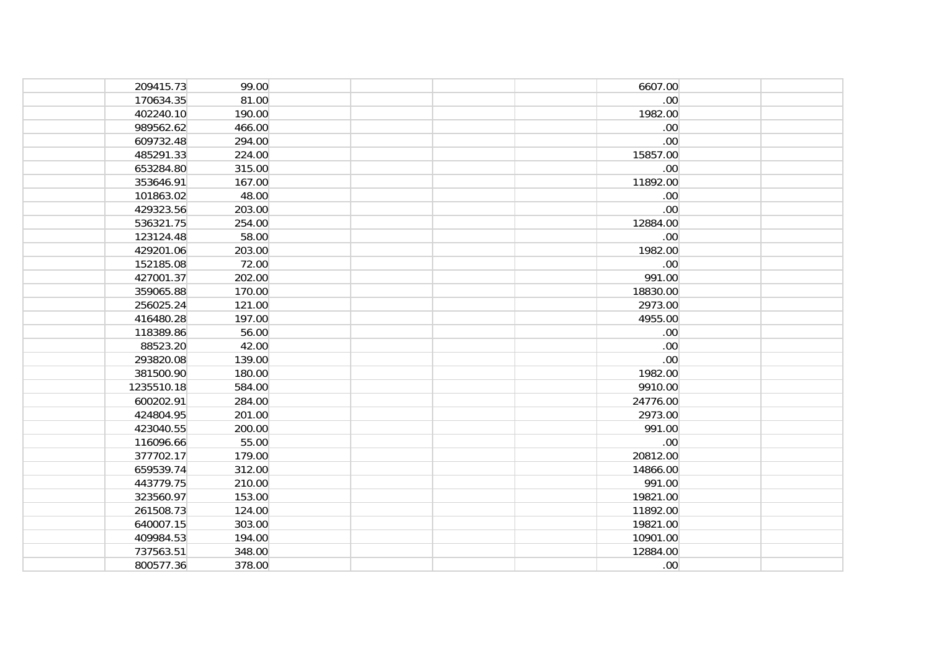| 209415.73  | 99.00  |  | 6607.00          |  |
|------------|--------|--|------------------|--|
| 170634.35  | 81.00  |  | .00              |  |
| 402240.10  | 190.00 |  | 1982.00          |  |
| 989562.62  | 466.00 |  | .00              |  |
| 609732.48  | 294.00 |  | .00              |  |
| 485291.33  | 224.00 |  | 15857.00         |  |
| 653284.80  | 315.00 |  | .00 <sub>1</sub> |  |
| 353646.91  | 167.00 |  | 11892.00         |  |
| 101863.02  | 48.00  |  | .00 <sub>1</sub> |  |
| 429323.56  | 203.00 |  | .00 <sub>1</sub> |  |
| 536321.75  | 254.00 |  | 12884.00         |  |
| 123124.48  | 58.00  |  | .00              |  |
| 429201.06  | 203.00 |  | 1982.00          |  |
| 152185.08  | 72.00  |  | .00              |  |
| 427001.37  | 202.00 |  | 991.00           |  |
| 359065.88  | 170.00 |  | 18830.00         |  |
| 256025.24  | 121.00 |  | 2973.00          |  |
| 416480.28  | 197.00 |  | 4955.00          |  |
| 118389.86  | 56.00  |  | .00 <sub>1</sub> |  |
| 88523.20   | 42.00  |  | .00              |  |
| 293820.08  | 139.00 |  | .00              |  |
| 381500.90  | 180.00 |  | 1982.00          |  |
| 1235510.18 | 584.00 |  | 9910.00          |  |
| 600202.91  | 284.00 |  | 24776.00         |  |
| 424804.95  | 201.00 |  | 2973.00          |  |
| 423040.55  | 200.00 |  | 991.00           |  |
| 116096.66  | 55.00  |  | .00              |  |
| 377702.17  | 179.00 |  | 20812.00         |  |
| 659539.74  | 312.00 |  | 14866.00         |  |
| 443779.75  | 210.00 |  | 991.00           |  |
| 323560.97  | 153.00 |  | 19821.00         |  |
| 261508.73  | 124.00 |  | 11892.00         |  |
| 640007.15  | 303.00 |  | 19821.00         |  |
| 409984.53  | 194.00 |  | 10901.00         |  |
| 737563.51  | 348.00 |  | 12884.00         |  |
| 800577.36  | 378.00 |  | .00 <sub>1</sub> |  |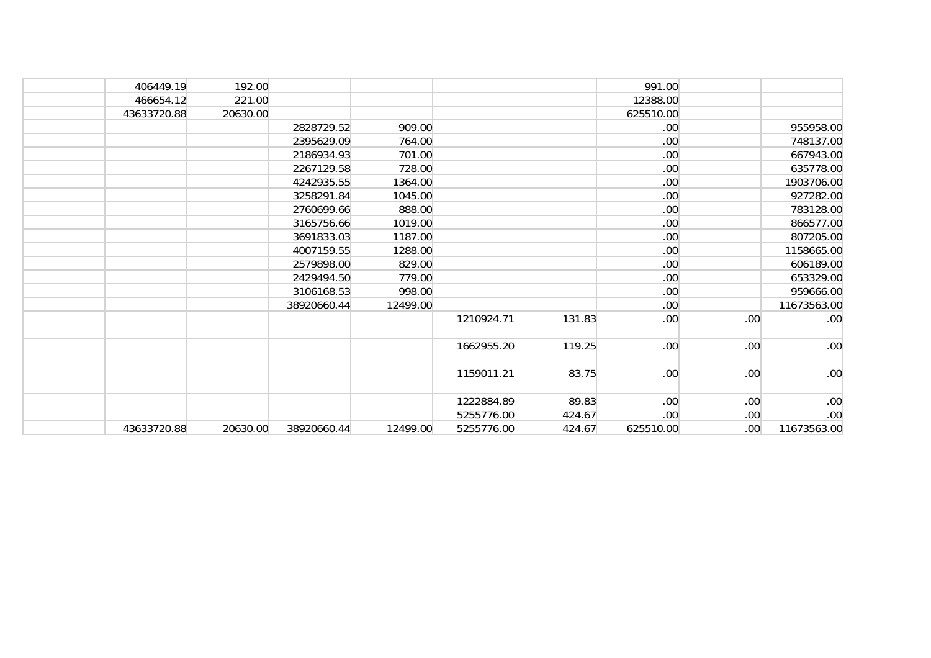| 406449.19   | 192.00   |             |          |            |        | 991.00           |                  |                  |
|-------------|----------|-------------|----------|------------|--------|------------------|------------------|------------------|
| 466654.12   | 221.00   |             |          |            |        | 12388.00         |                  |                  |
| 43633720.88 | 20630.00 |             |          |            |        | 625510.00        |                  |                  |
|             |          | 2828729.52  | 909.00   |            |        | .00              |                  | 955958.00        |
|             |          | 2395629.09  | 764.00   |            |        | .00              |                  | 748137.00        |
|             |          | 2186934.93  | 701.00   |            |        | .00              |                  | 667943.00        |
|             |          | 2267129.58  | 728.00   |            |        | .00              |                  | 635778.00        |
|             |          | 4242935.55  | 1364.00  |            |        | .00              |                  | 1903706.00       |
|             |          | 3258291.84  | 1045.00  |            |        | .00              |                  | 927282.00        |
|             |          | 2760699.66  | 888.00   |            |        | .00              |                  | 783128.00        |
|             |          | 3165756.66  | 1019.00  |            |        | .00              |                  | 866577.00        |
|             |          | 3691833.03  | 1187.00  |            |        | .00              |                  | 807205.00        |
|             |          | 4007159.55  | 1288.00  |            |        | .00              |                  | 1158665.00       |
|             |          | 2579898.00  | 829.00   |            |        | .00              |                  | 606189.00        |
|             |          | 2429494.50  | 779.00   |            |        | .00              |                  | 653329.00        |
|             |          | 3106168.53  | 998.00   |            |        | .00 <sub>1</sub> |                  | 959666.00        |
|             |          | 38920660.44 | 12499.00 |            |        | .00              |                  | 11673563.00      |
|             |          |             |          | 1210924.71 | 131.83 | .00 <sub>1</sub> | .00              | .00 <sub>1</sub> |
|             |          |             |          | 1662955.20 | 119.25 | .00              | .00              | .00              |
|             |          |             |          | 1159011.21 | 83.75  | .00 <sub>1</sub> | .00              | .00              |
|             |          |             |          | 1222884.89 | 89.83  | .00 <sub>1</sub> | .00 <sub>1</sub> | .00              |
|             |          |             |          | 5255776.00 | 424.67 | .00              | .00 <sub>1</sub> | .00              |
| 43633720.88 | 20630.00 | 38920660.44 | 12499.00 | 5255776.00 | 424.67 | 625510.00        | .00 <sub>1</sub> | 11673563.00      |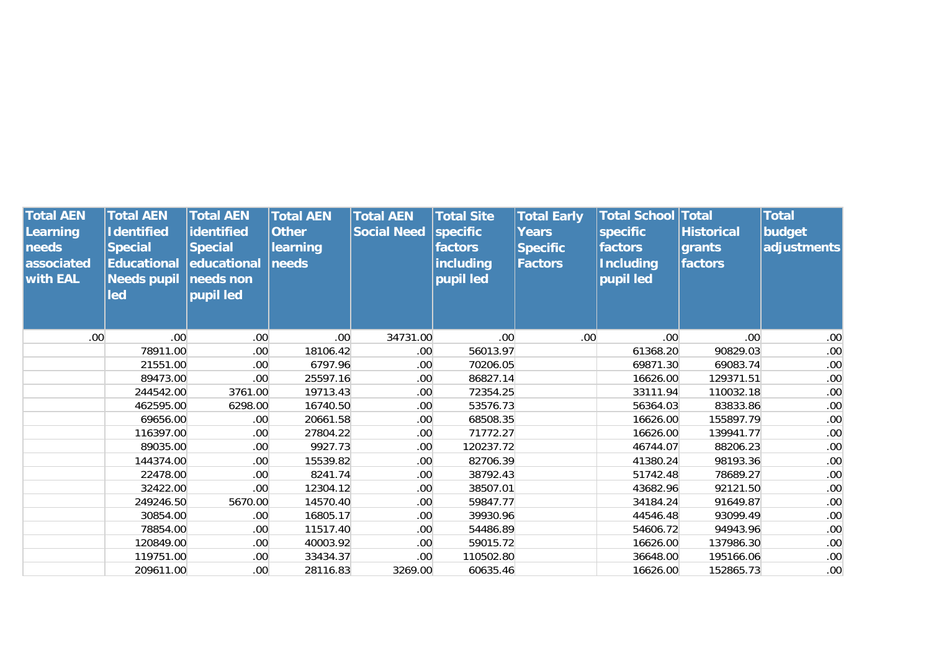| <b>Total AEN</b><br>Learning<br>needs<br>associated<br><b>with EAL</b> | <b>Total AEN</b><br><b>Identified</b><br><b>Special</b><br><b>Educational</b><br><b>Needs pupil</b><br>led | <b>Total AEN</b><br>identified<br><b>Special</b><br> educational<br>needs non<br>pupil led | <b>Total AEN</b><br><b>Other</b><br>learning<br>needs | <b>Total AEN</b><br><b>Social Need</b> | <b>Total Site</b><br>specific<br>factors<br>including<br>pupil led | <b>Total Early</b><br><b>Years</b><br><b>Specific</b><br><b>Factors</b> | <b>Total School Total</b><br>specific<br>factors<br><b>Including</b><br>pupil led | <b>Historical</b><br>grants<br>factors | <b>Total</b><br>budget<br>adjustments |
|------------------------------------------------------------------------|------------------------------------------------------------------------------------------------------------|--------------------------------------------------------------------------------------------|-------------------------------------------------------|----------------------------------------|--------------------------------------------------------------------|-------------------------------------------------------------------------|-----------------------------------------------------------------------------------|----------------------------------------|---------------------------------------|
| .00 <sub>1</sub>                                                       | .00 <sub>1</sub>                                                                                           | .00 <sub>1</sub>                                                                           | .00.                                                  | 34731.00                               | .00                                                                | .00 <sub>1</sub>                                                        | .00                                                                               | .00 <sub>1</sub>                       | .00 <sub>1</sub>                      |
|                                                                        | 78911.00                                                                                                   | .00                                                                                        | 18106.42                                              | .00 <sub>1</sub>                       | 56013.97                                                           |                                                                         | 61368.20                                                                          | 90829.03                               | .00 <sub>1</sub>                      |
|                                                                        | 21551.00                                                                                                   | .00.                                                                                       | 6797.96                                               | .00 <sub>1</sub>                       | 70206.05                                                           |                                                                         | 69871.30                                                                          | 69083.74                               | .00                                   |
|                                                                        | 89473.00                                                                                                   | .00.                                                                                       | 25597.16                                              | .00 <sub>1</sub>                       | 86827.14                                                           |                                                                         | 16626.00                                                                          | 129371.51                              | .00                                   |
|                                                                        | 244542.00                                                                                                  | 3761.00                                                                                    | 19713.43                                              | .00 <sub>1</sub>                       | 72354.25                                                           |                                                                         | 33111.94                                                                          | 110032.18                              | .00 <sub>1</sub>                      |
|                                                                        | 462595.00                                                                                                  | 6298.00                                                                                    | 16740.50                                              | .00 <sub>1</sub>                       | 53576.73                                                           |                                                                         | 56364.03                                                                          | 83833.86                               | .00 <sub>1</sub>                      |
|                                                                        | 69656.00                                                                                                   | .00.                                                                                       | 20661.58                                              | .00 <sub>1</sub>                       | 68508.35                                                           |                                                                         | 16626.00                                                                          | 155897.79                              | .00 <sub>1</sub>                      |
|                                                                        | 116397.00                                                                                                  | .00 <sub>1</sub>                                                                           | 27804.22                                              | .00 <sub>1</sub>                       | 71772.27                                                           |                                                                         | 16626.00                                                                          | 139941.77                              | .00 <sub>1</sub>                      |
|                                                                        | 89035.00                                                                                                   | .00.                                                                                       | 9927.73                                               | .00 <sub>1</sub>                       | 120237.72                                                          |                                                                         | 46744.07                                                                          | 88206.23                               | .00                                   |
|                                                                        | 144374.00                                                                                                  | .00.                                                                                       | 15539.82                                              | .00 <sub>1</sub>                       | 82706.39                                                           |                                                                         | 41380.24                                                                          | 98193.36                               | .00 <sub>1</sub>                      |
|                                                                        | 22478.00                                                                                                   | .00.                                                                                       | 8241.74                                               | .00 <sub>1</sub>                       | 38792.43                                                           |                                                                         | 51742.48                                                                          | 78689.27                               | .00 <sub>1</sub>                      |
|                                                                        | 32422.00                                                                                                   | .00                                                                                        | 12304.12                                              | .00 <sub>1</sub>                       | 38507.01                                                           |                                                                         | 43682.96                                                                          | 92121.50                               | .00                                   |
|                                                                        | 249246.50                                                                                                  | 5670.00                                                                                    | 14570.40                                              | .00 <sub>1</sub>                       | 59847.77                                                           |                                                                         | 34184.24                                                                          | 91649.87                               | .00 <sub>1</sub>                      |
|                                                                        | 30854.00                                                                                                   | .00.                                                                                       | 16805.17                                              | .00 <sub>1</sub>                       | 39930.96                                                           |                                                                         | 44546.48                                                                          | 93099.49                               | .00 <sub>1</sub>                      |
|                                                                        | 78854.00                                                                                                   | .00.                                                                                       | 11517.40                                              | .00 <sub>1</sub>                       | 54486.89                                                           |                                                                         | 54606.72                                                                          | 94943.96                               | .00 <sub>1</sub>                      |
|                                                                        | 120849.00                                                                                                  | .00 <sub>1</sub>                                                                           | 40003.92                                              | .00 <sub>1</sub>                       | 59015.72                                                           |                                                                         | 16626.00                                                                          | 137986.30                              | .00                                   |
|                                                                        | 119751.00                                                                                                  | .00 <sub>1</sub>                                                                           | 33434.37                                              | .00 <sub>1</sub>                       | 110502.80                                                          |                                                                         | 36648.00                                                                          | 195166.06                              | .00 <sub>1</sub>                      |
|                                                                        | 209611.00                                                                                                  | .00                                                                                        | 28116.83                                              | 3269.00                                | 60635.46                                                           |                                                                         | 16626.00                                                                          | 152865.73                              | .00 <sub>1</sub>                      |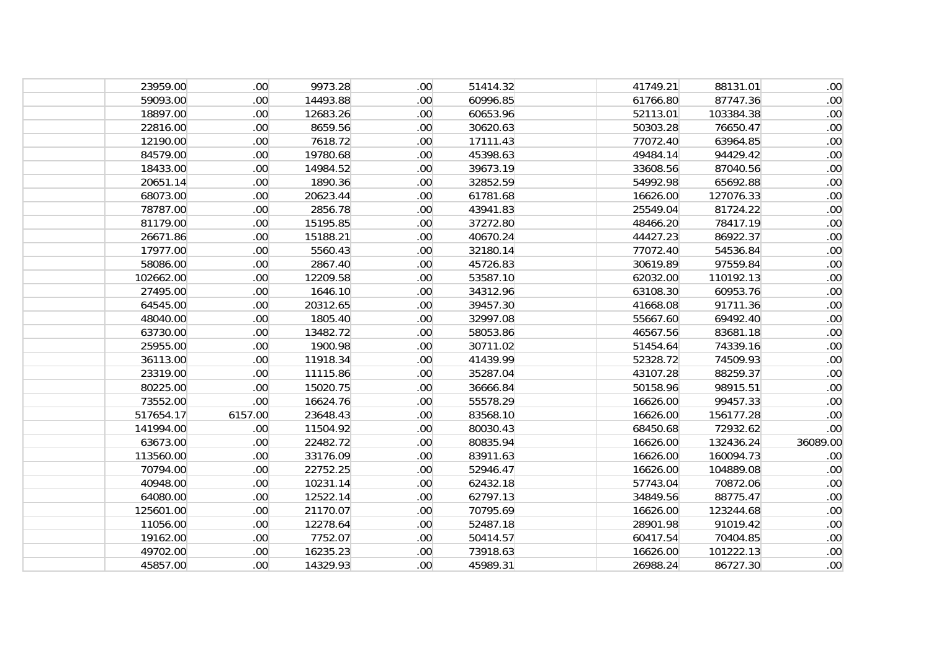| 23959.00  | .00 <sub>1</sub> | 9973.28  | .00 <sub>1</sub> | 51414.32 | 41749.21 | 88131.01  | .00 <sub>1</sub> |
|-----------|------------------|----------|------------------|----------|----------|-----------|------------------|
| 59093.00  | .00.             | 14493.88 | .00 <sub>1</sub> | 60996.85 | 61766.80 | 87747.36  | .00 <sub>1</sub> |
| 18897.00  | .00.             | 12683.26 | .00 <sub>1</sub> | 60653.96 | 52113.01 | 103384.38 | .00 <sub>1</sub> |
| 22816.00  | .00.             | 8659.56  | .00 <sub>1</sub> | 30620.63 | 50303.28 | 76650.47  | .00              |
| 12190.00  | .00 <sub>1</sub> | 7618.72  | .00 <sub>1</sub> | 17111.43 | 77072.40 | 63964.85  | .00              |
| 84579.00  | .00 <sub>1</sub> | 19780.68 | .00 <sub>1</sub> | 45398.63 | 49484.14 | 94429.42  | .00 <sub>1</sub> |
| 18433.00  | .00 <sub>1</sub> | 14984.52 | .00 <sub>1</sub> | 39673.19 | 33608.56 | 87040.56  | .00 <sub>1</sub> |
| 20651.14  | .00 <sub>1</sub> | 1890.36  | .00 <sub>1</sub> | 32852.59 | 54992.98 | 65692.88  | .00 <sub>1</sub> |
| 68073.00  | .00 <sub>1</sub> | 20623.44 | .00 <sub>1</sub> | 61781.68 | 16626.00 | 127076.33 | .00              |
| 78787.00  | .00 <sub>1</sub> | 2856.78  | .00 <sub>1</sub> | 43941.83 | 25549.04 | 81724.22  | .00              |
| 81179.00  | .00 <sub>1</sub> | 15195.85 | .00 <sub>1</sub> | 37272.80 | 48466.20 | 78417.19  | .00 <sub>1</sub> |
| 26671.86  | .00 <sub>1</sub> | 15188.21 | .00 <sub>1</sub> | 40670.24 | 44427.23 | 86922.37  | .00 <sub>1</sub> |
| 17977.00  | .00 <sub>1</sub> | 5560.43  | .00 <sub>1</sub> | 32180.14 | 77072.40 | 54536.84  | .00 <sub>1</sub> |
| 58086.00  | .00 <sub>1</sub> | 2867.40  | .00 <sub>1</sub> | 45726.83 | 30619.89 | 97559.84  | .00              |
| 102662.00 | .00 <sub>1</sub> | 12209.58 | .00 <sub>1</sub> | 53587.10 | 62032.00 | 110192.13 | .00              |
| 27495.00  | .00 <sub>1</sub> | 1646.10  | .00 <sub>1</sub> | 34312.96 | 63108.30 | 60953.76  | .00 <sub>1</sub> |
| 64545.00  | .00.             | 20312.65 | .00 <sub>1</sub> | 39457.30 | 41668.08 | 91711.36  | .00 <sub>1</sub> |
| 48040.00  | .00.             | 1805.40  | .00 <sub>1</sub> | 32997.08 | 55667.60 | 69492.40  | .00 <sub>1</sub> |
| 63730.00  | .00 <sub>1</sub> | 13482.72 | .00 <sub>1</sub> | 58053.86 | 46567.56 | 83681.18  | .00 <sub>1</sub> |
| 25955.00  | .00 <sub>1</sub> | 1900.98  | .00 <sub>1</sub> | 30711.02 | 51454.64 | 74339.16  | .00 <sub>1</sub> |
| 36113.00  | .00.             | 11918.34 | .00 <sub>1</sub> | 41439.99 | 52328.72 | 74509.93  | .00 <sub>1</sub> |
| 23319.00  | .00 <sub>1</sub> | 11115.86 | .00 <sub>1</sub> | 35287.04 | 43107.28 | 88259.37  | .00 <sub>1</sub> |
| 80225.00  | .00 <sub>1</sub> | 15020.75 | .00 <sub>1</sub> | 36666.84 | 50158.96 | 98915.51  | .00 <sub>1</sub> |
| 73552.00  | .00 <sub>1</sub> | 16624.76 | .00 <sub>1</sub> | 55578.29 | 16626.00 | 99457.33  | .00 <sub>1</sub> |
| 517654.17 | 6157.00          | 23648.43 | .00 <sub>1</sub> | 83568.10 | 16626.00 | 156177.28 | .00 <sub>1</sub> |
| 141994.00 | .00 <sub>1</sub> | 11504.92 | .00 <sub>1</sub> | 80030.43 | 68450.68 | 72932.62  | .00 <sub>1</sub> |
| 63673.00  | .00 <sub>1</sub> | 22482.72 | .00 <sub>1</sub> | 80835.94 | 16626.00 | 132436.24 | 36089.00         |
| 113560.00 | .00 <sub>1</sub> | 33176.09 | .00 <sub>1</sub> | 83911.63 | 16626.00 | 160094.73 | .00 <sub>1</sub> |
| 70794.00  | .00 <sub>1</sub> | 22752.25 | .00 <sub>1</sub> | 52946.47 | 16626.00 | 104889.08 | .00              |
| 40948.00  | .00 <sub>1</sub> | 10231.14 | .00 <sub>1</sub> | 62432.18 | 57743.04 | 70872.06  | .00 <sub>1</sub> |
| 64080.00  | .00 <sub>1</sub> | 12522.14 | .00 <sub>1</sub> | 62797.13 | 34849.56 | 88775.47  | .00 <sub>1</sub> |
| 125601.00 | .00 <sub>1</sub> | 21170.07 | .00 <sub>1</sub> | 70795.69 | 16626.00 | 123244.68 | .00 <sub>1</sub> |
| 11056.00  | .00 <sub>1</sub> | 12278.64 | .00 <sub>1</sub> | 52487.18 | 28901.98 | 91019.42  | .00 <sub>1</sub> |
| 19162.00  | .00.             | 7752.07  | .00 <sub>1</sub> | 50414.57 | 60417.54 | 70404.85  | .00              |
| 49702.00  | .00 <sub>1</sub> | 16235.23 | .00 <sub>1</sub> | 73918.63 | 16626.00 | 101222.13 | .00 <sub>1</sub> |
| 45857.00  | .00.             | 14329.93 | .00 <sub>1</sub> | 45989.31 | 26988.24 | 86727.30  | .00 <sub>1</sub> |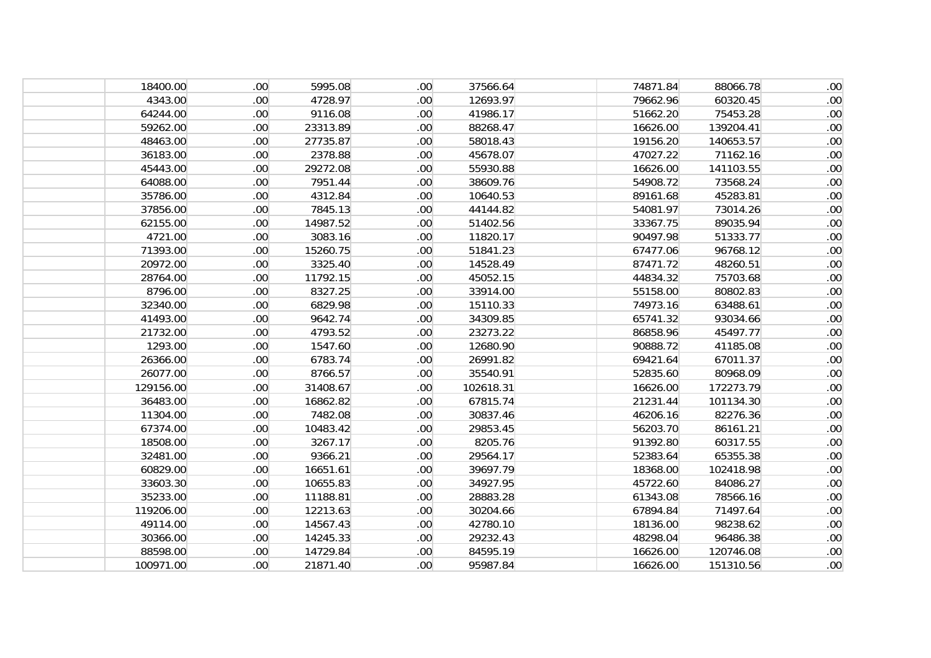| 18400.00  | .00 <sub>1</sub> | 5995.08  | .00 <sub>1</sub> | 37566.64  | 74871.84 | 88066.78  | .00 <sub>1</sub> |
|-----------|------------------|----------|------------------|-----------|----------|-----------|------------------|
| 4343.00   | .00.             | 4728.97  | .00 <sub>1</sub> | 12693.97  | 79662.96 | 60320.45  | .00 <sub>1</sub> |
| 64244.00  | .00 <sub>1</sub> | 9116.08  | .00 <sub>1</sub> | 41986.17  | 51662.20 | 75453.28  | .00 <sub>1</sub> |
| 59262.00  | .00 <sub>1</sub> | 23313.89 | .00 <sub>1</sub> | 88268.47  | 16626.00 | 139204.41 | .00 <sub>1</sub> |
| 48463.00  | .00 <sub>1</sub> | 27735.87 | .00 <sub>1</sub> | 58018.43  | 19156.20 | 140653.57 | .00 <sub>1</sub> |
| 36183.00  | .00 <sub>1</sub> | 2378.88  | .00 <sub>1</sub> | 45678.07  | 47027.22 | 71162.16  | .00 <sub>1</sub> |
| 45443.00  | .00 <sub>1</sub> | 29272.08 | .00 <sub>1</sub> | 55930.88  | 16626.00 | 141103.55 | .00 <sub>1</sub> |
| 64088.00  | .00.             | 7951.44  | .00 <sub>1</sub> | 38609.76  | 54908.72 | 73568.24  | .00 <sub>1</sub> |
| 35786.00  | .00 <sub>1</sub> | 4312.84  | .00 <sub>1</sub> | 10640.53  | 89161.68 | 45283.81  | .00 <sub>1</sub> |
| 37856.00  | .00 <sub>1</sub> | 7845.13  | .00 <sub>1</sub> | 44144.82  | 54081.97 | 73014.26  | .00 <sub>1</sub> |
| 62155.00  | .00 <sub>1</sub> | 14987.52 | .00 <sub>1</sub> | 51402.56  | 33367.75 | 89035.94  | .00 <sub>1</sub> |
| 4721.00   | .00 <sub>1</sub> | 3083.16  | .00 <sub>1</sub> | 11820.17  | 90497.98 | 51333.77  | .00 <sub>1</sub> |
| 71393.00  | .00 <sub>1</sub> | 15260.75 | .00 <sub>1</sub> | 51841.23  | 67477.06 | 96768.12  | .00 <sub>1</sub> |
| 20972.00  | .00 <sub>1</sub> | 3325.40  | .00 <sub>1</sub> | 14528.49  | 87471.72 | 48260.51  | .00 <sub>1</sub> |
| 28764.00  | .00 <sub>1</sub> | 11792.15 | .00 <sub>1</sub> | 45052.15  | 44834.32 | 75703.68  | .00 <sub>1</sub> |
| 8796.00   | .00 <sub>1</sub> | 8327.25  | .00 <sub>1</sub> | 33914.00  | 55158.00 | 80802.83  | .00 <sub>1</sub> |
| 32340.00  | .00 <sub>1</sub> | 6829.98  | .00 <sub>1</sub> | 15110.33  | 74973.16 | 63488.61  | .00 <sub>1</sub> |
| 41493.00  | .00 <sub>1</sub> | 9642.74  | .00 <sub>1</sub> | 34309.85  | 65741.32 | 93034.66  | .00 <sub>1</sub> |
| 21732.00  | .00 <sub>1</sub> | 4793.52  | .00 <sub>1</sub> | 23273.22  | 86858.96 | 45497.77  | .00 <sub>1</sub> |
| 1293.00   | .00 <sub>1</sub> | 1547.60  | .00 <sub>1</sub> | 12680.90  | 90888.72 | 41185.08  | .00 <sub>1</sub> |
| 26366.00  | .00 <sub>1</sub> | 6783.74  | .00 <sub>1</sub> | 26991.82  | 69421.64 | 67011.37  | .00 <sub>1</sub> |
| 26077.00  | .00 <sub>1</sub> | 8766.57  | .00 <sub>1</sub> | 35540.91  | 52835.60 | 80968.09  | .00 <sub>1</sub> |
| 129156.00 | .00 <sub>1</sub> | 31408.67 | .00 <sub>1</sub> | 102618.31 | 16626.00 | 172273.79 | .00 <sub>1</sub> |
| 36483.00  | .00 <sub>1</sub> | 16862.82 | .00 <sub>1</sub> | 67815.74  | 21231.44 | 101134.30 | .00 <sub>1</sub> |
| 11304.00  | .00 <sub>1</sub> | 7482.08  | .00 <sub>1</sub> | 30837.46  | 46206.16 | 82276.36  | .00 <sub>1</sub> |
| 67374.00  | .00.             | 10483.42 | .00 <sub>1</sub> | 29853.45  | 56203.70 | 86161.21  | .00 <sub>1</sub> |
| 18508.00  | .00 <sub>1</sub> | 3267.17  | .00 <sub>1</sub> | 8205.76   | 91392.80 | 60317.55  | .00 <sub>1</sub> |
| 32481.00  | .00 <sub>1</sub> | 9366.21  | .00 <sub>1</sub> | 29564.17  | 52383.64 | 65355.38  | .00 <sub>1</sub> |
| 60829.00  | .00 <sub>1</sub> | 16651.61 | .00 <sub>1</sub> | 39697.79  | 18368.00 | 102418.98 | .00 <sub>1</sub> |
| 33603.30  | .00 <sub>1</sub> | 10655.83 | .00 <sub>1</sub> | 34927.95  | 45722.60 | 84086.27  | .00 <sub>1</sub> |
| 35233.00  | .00 <sub>1</sub> | 11188.81 | .00 <sub>1</sub> | 28883.28  | 61343.08 | 78566.16  | .00 <sub>1</sub> |
| 119206.00 | .00 <sub>1</sub> | 12213.63 | .00 <sub>1</sub> | 30204.66  | 67894.84 | 71497.64  | .00 <sub>1</sub> |
| 49114.00  | .00 <sub>1</sub> | 14567.43 | .00 <sub>1</sub> | 42780.10  | 18136.00 | 98238.62  | .00 <sub>1</sub> |
| 30366.00  | .00.             | 14245.33 | .00 <sub>1</sub> | 29232.43  | 48298.04 | 96486.38  | .00 <sub>1</sub> |
| 88598.00  | .00.             | 14729.84 | .00 <sub>1</sub> | 84595.19  | 16626.00 | 120746.08 | .00 <sub>1</sub> |
| 100971.00 | .00.             | 21871.40 | .00 <sub>1</sub> | 95987.84  | 16626.00 | 151310.56 | .00 <sub>1</sub> |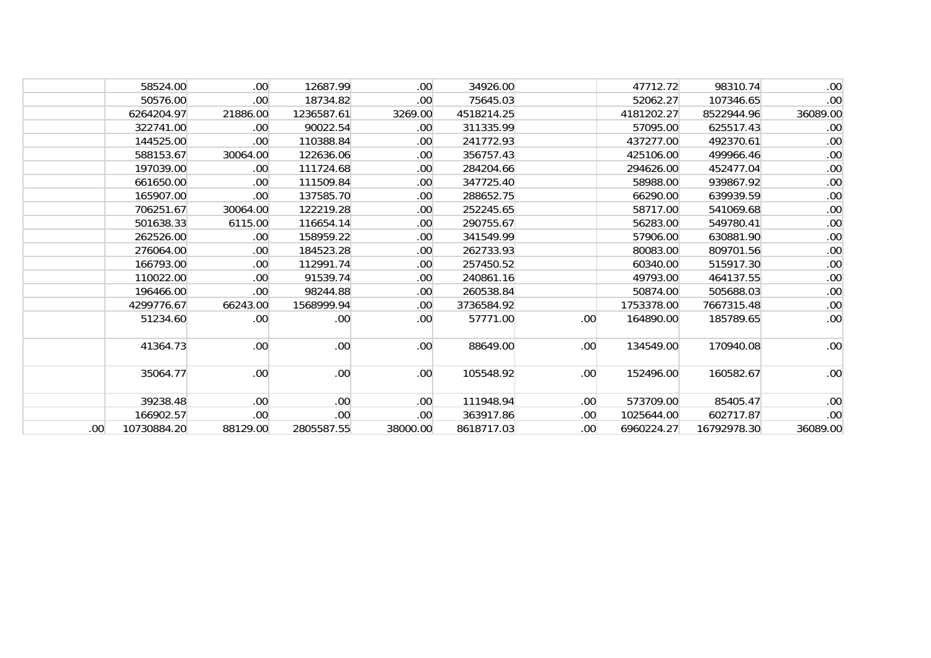|                  | 58524.00    | .00 <sub>1</sub> | 12687.99         | .00 <sub>1</sub> | 34926.00   |                  | 47712.72   | 98310.74    | .00 <sub>1</sub> |
|------------------|-------------|------------------|------------------|------------------|------------|------------------|------------|-------------|------------------|
|                  | 50576.00    | $.00 \,$         | 18734.82         | .00 <sub>1</sub> | 75645.03   |                  | 52062.27   | 107346.65   | .00              |
|                  | 6264204.97  | 21886.00         | 1236587.61       | 3269.00          | 4518214.25 |                  | 4181202.27 | 8522944.96  | 36089.00         |
|                  | 322741.00   | .00 <sub>1</sub> | 90022.54         | .00 <sub>1</sub> | 311335.99  |                  | 57095.00   | 625517.43   | .00              |
|                  | 144525.00   | .00.             | 110388.84        | .00 <sub>1</sub> | 241772.93  |                  | 437277.00  | 492370.61   | .00              |
|                  | 588153.67   | 30064.00         | 122636.06        | .00 <sub>1</sub> | 356757.43  |                  | 425106.00  | 499966.46   | .00              |
|                  | 197039.00   | .00 <sub>1</sub> | 111724.68        | .00 <sub>1</sub> | 284204.66  |                  | 294626.00  | 452477.04   | .00 <sub>1</sub> |
|                  | 661650.00   | .00.             | 111509.84        | .00 <sub>1</sub> | 347725.40  |                  | 58988.00   | 939867.92   | .00              |
|                  | 165907.00   | .00.             | 137585.70        | .00 <sub>1</sub> | 288652.75  |                  | 66290.00   | 639939.59   | .00              |
|                  | 706251.67   | 30064.00         | 122219.28        | .00 <sub>1</sub> | 252245.65  |                  | 58717.00   | 541069.68   | .00              |
|                  | 501638.33   | 6115.00          | 116654.14        | .00 <sub>1</sub> | 290755.67  |                  | 56283.00   | 549780.41   | .00              |
|                  | 262526.00   | $.00 \,$         | 158959.22        | .00 <sub>1</sub> | 341549.99  |                  | 57906.00   | 630881.90   | .00              |
|                  | 276064.00   | .00 <sub>1</sub> | 184523.28        | .00 <sub>1</sub> | 262733.93  |                  | 80083.00   | 809701.56   | .00              |
|                  | 166793.00   | .00.             | 112991.74        | .00 <sub>1</sub> | 257450.52  |                  | 60340.00   | 515917.30   | .00              |
|                  | 110022.00   | .00 <sub>1</sub> | 91539.74         | .00 <sub>1</sub> | 240861.16  |                  | 49793.00   | 464137.55   | .00 <sub>1</sub> |
|                  | 196466.00   | .00 <sub>1</sub> | 98244.88         | .00 <sub>1</sub> | 260538.84  |                  | 50874.00   | 505688.03   | .00 <sub>1</sub> |
|                  | 4299776.67  | 66243.00         | 1568999.94       | .00 <sub>1</sub> | 3736584.92 |                  | 1753378.00 | 7667315.48  | .00              |
|                  | 51234.60    | $.00 \,$         | .00              | .00 <sub>1</sub> | 57771.00   | .00              | 164890.00  | 185789.65   | .00 <sub>1</sub> |
|                  | 41364.73    | .00 <sub>1</sub> | .00.             | .00 <sub>1</sub> | 88649.00   | .00              | 134549.00  | 170940.08   | .00 <sub>1</sub> |
|                  | 35064.77    | .00.             | .00.             | .00              | 105548.92  | .00 <sub>1</sub> | 152496.00  | 160582.67   | .00              |
|                  | 39238.48    | .00 <sub>1</sub> | .00.             | .00 <sub>1</sub> | 111948.94  | .00.             | 573709.00  | 85405.47    | .00 <sub>1</sub> |
|                  | 166902.57   | .00.             | .00 <sub>1</sub> | .00 <sub>1</sub> | 363917.86  | .00.             | 1025644.00 | 602717.87   | .00 <sub>1</sub> |
| .00 <sub>1</sub> | 10730884.20 | 88129.00         | 2805587.55       | 38000.00         | 8618717.03 | .00 <sub>1</sub> | 6960224.27 | 16792978.30 | 36089.00         |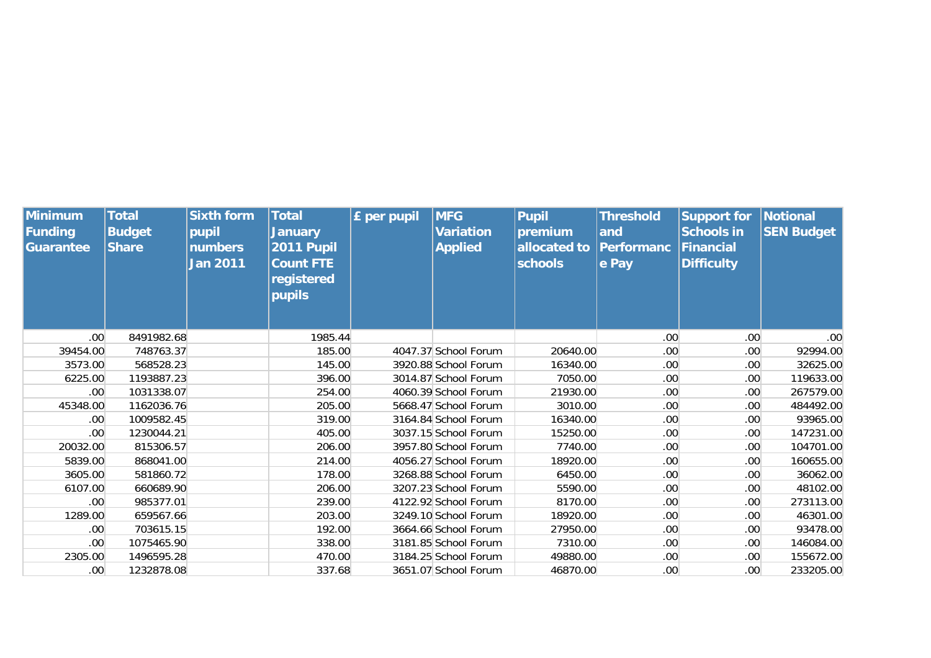| Minimum<br>Funding<br>Guarantee | <b>Total</b><br><b>Budget</b><br><b>Share</b> | <b>Sixth form</b><br>pupil<br><b>numbers</b><br><b>Jan 2011</b> | <b>Total</b><br><b>January</b><br><b>2011 Pupil</b><br><b>Count FTE</b><br>registered | <b>£</b> per pupil | <b>MFG</b><br><b>Variation</b><br><b>Applied</b> | <b>Pupil</b><br>premium<br>allocated to<br><b>schools</b> | <b>Threshold</b><br>and<br><b>Performanc</b><br>e Pay | <b>Support for</b><br><b>Schools in</b><br><b>Financial</b><br><b>Difficulty</b> | Notional<br><b>SEN Budget</b> |
|---------------------------------|-----------------------------------------------|-----------------------------------------------------------------|---------------------------------------------------------------------------------------|--------------------|--------------------------------------------------|-----------------------------------------------------------|-------------------------------------------------------|----------------------------------------------------------------------------------|-------------------------------|
|                                 |                                               |                                                                 | pupils                                                                                |                    |                                                  |                                                           |                                                       |                                                                                  |                               |
| .00 <sub>1</sub>                | 8491982.68                                    |                                                                 | 1985.44                                                                               |                    |                                                  |                                                           | .00                                                   | .00 <sub>1</sub>                                                                 | .00 <sub>1</sub>              |
| 39454.00                        | 748763.37                                     |                                                                 | 185.00                                                                                |                    | 4047.37 School Forum                             | 20640.00                                                  | .00                                                   | .00 <sub>1</sub>                                                                 | 92994.00                      |
| 3573.00                         | 568528.23                                     |                                                                 | 145.00                                                                                |                    | 3920.88 School Forum                             | 16340.00                                                  | .00                                                   | .00 <sub>1</sub>                                                                 | 32625.00                      |
| 6225.00                         | 1193887.23                                    |                                                                 | 396.00                                                                                |                    | 3014.87 School Forum                             | 7050.00                                                   | .00 <sub>1</sub>                                      | .00 <sub>1</sub>                                                                 | 119633.00                     |
| .00 <sub>1</sub>                | 1031338.07                                    |                                                                 | 254.00                                                                                |                    | 4060.39 School Forum                             | 21930.00                                                  | .00 <sub>1</sub>                                      | .00 <sub>1</sub>                                                                 | 267579.00                     |
| 45348.00                        | 1162036.76                                    |                                                                 | 205.00                                                                                |                    | 5668.47 School Forum                             | 3010.00                                                   | .00                                                   | .00 <sub>1</sub>                                                                 | 484492.00                     |
| .00.                            | 1009582.45                                    |                                                                 | 319.00                                                                                |                    | 3164.84 School Forum                             | 16340.00                                                  | .00                                                   | .00 <sub>1</sub>                                                                 | 93965.00                      |
| .00                             | 1230044.21                                    |                                                                 | 405.00                                                                                |                    | 3037.15 School Forum                             | 15250.00                                                  | .00                                                   | .00 <sub>1</sub>                                                                 | 147231.00                     |
| 20032.00                        | 815306.57                                     |                                                                 | 206.00                                                                                |                    | 3957.80 School Forum                             | 7740.00                                                   | .00                                                   | .00 <sub>1</sub>                                                                 | 104701.00                     |
| 5839.00                         | 868041.00                                     |                                                                 | 214.00                                                                                |                    | 4056.27 School Forum                             | 18920.00                                                  | .00                                                   | .00 <sub>1</sub>                                                                 | 160655.00                     |
| 3605.00                         | 581860.72                                     |                                                                 | 178.00                                                                                |                    | 3268.88 School Forum                             | 6450.00                                                   | .00                                                   | .00 <sub>1</sub>                                                                 | 36062.00                      |
| 6107.00                         | 660689.90                                     |                                                                 | 206.00                                                                                |                    | 3207.23 School Forum                             | 5590.00                                                   | .00                                                   | .00 <sub>1</sub>                                                                 | 48102.00                      |
| .00                             | 985377.01                                     |                                                                 | 239.00                                                                                |                    | 4122.92 School Forum                             | 8170.00                                                   | .00                                                   | .00 <sub>1</sub>                                                                 | 273113.00                     |
| 1289.00                         | 659567.66                                     |                                                                 | 203.00                                                                                |                    | 3249.10 School Forum                             | 18920.00                                                  | .00                                                   | .00 <sub>1</sub>                                                                 | 46301.00                      |
| .00                             | 703615.15                                     |                                                                 | 192.00                                                                                |                    | 3664.66 School Forum                             | 27950.00                                                  | .00                                                   | .00 <sub>1</sub>                                                                 | 93478.00                      |
| .00                             | 1075465.90                                    |                                                                 | 338.00                                                                                |                    | 3181.85 School Forum                             | 7310.00                                                   | .00                                                   | .00 <sub>1</sub>                                                                 | 146084.00                     |
| 2305.00                         | 1496595.28                                    |                                                                 | 470.00                                                                                |                    | 3184.25 School Forum                             | 49880.00                                                  | .00                                                   | .00 <sub>1</sub>                                                                 | 155672.00                     |
| .00 <sub>1</sub>                | 1232878.08                                    |                                                                 | 337.68                                                                                |                    | 3651.07 School Forum                             | 46870.00                                                  | .00 <sub>1</sub>                                      | .00 <sub>1</sub>                                                                 | 233205.00                     |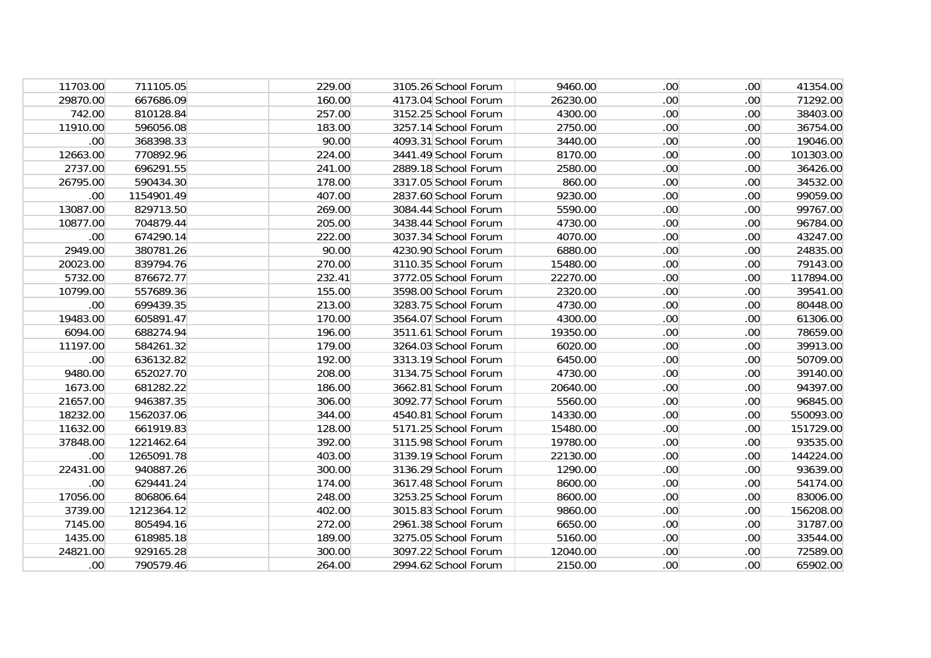| 11703.00         | 711105.05  | 229.00 | 3105.26 School Forum | 9460.00  | .00 <sub>1</sub> | .00.             | 41354.00  |
|------------------|------------|--------|----------------------|----------|------------------|------------------|-----------|
| 29870.00         | 667686.09  | 160.00 | 4173.04 School Forum | 26230.00 | .00 <sub>1</sub> | .00              | 71292.00  |
| 742.00           | 810128.84  | 257.00 | 3152.25 School Forum | 4300.00  | .00 <sub>1</sub> | .00              | 38403.00  |
| 11910.00         | 596056.08  | 183.00 | 3257.14 School Forum | 2750.00  | .00 <sub>1</sub> | .00.             | 36754.00  |
| .00 <sub>1</sub> | 368398.33  | 90.00  | 4093.31 School Forum | 3440.00  | .00 <sub>1</sub> | .00.             | 19046.00  |
| 12663.00         | 770892.96  | 224.00 | 3441.49 School Forum | 8170.00  | .00 <sub>1</sub> | .00              | 101303.00 |
| 2737.00          | 696291.55  | 241.00 | 2889.18 School Forum | 2580.00  | .00 <sub>1</sub> | .00              | 36426.00  |
| 26795.00         | 590434.30  | 178.00 | 3317.05 School Forum | 860.00   | .00 <sub>1</sub> | .00.             | 34532.00  |
| .00 <sub>1</sub> | 1154901.49 | 407.00 | 2837.60 School Forum | 9230.00  | .00 <sub>1</sub> | .00.             | 99059.00  |
| 13087.00         | 829713.50  | 269.00 | 3084.44 School Forum | 5590.00  | .00 <sub>1</sub> | .00.             | 99767.00  |
| 10877.00         | 704879.44  | 205.00 | 3438.44 School Forum | 4730.00  | .00 <sub>1</sub> | .00.             | 96784.00  |
| .00 <sub>1</sub> | 674290.14  | 222.00 | 3037.34 School Forum | 4070.00  | .00 <sub>1</sub> | .00 <sub>1</sub> | 43247.00  |
| 2949.00          | 380781.26  | 90.00  | 4230.90 School Forum | 6880.00  | .00 <sub>1</sub> | .00              | 24835.00  |
| 20023.00         | 839794.76  | 270.00 | 3110.35 School Forum | 15480.00 | .00 <sub>1</sub> | .00              | 79143.00  |
| 5732.00          | 876672.77  | 232.41 | 3772.05 School Forum | 22270.00 | .00 <sub>1</sub> | .00.             | 117894.00 |
| 10799.00         | 557689.36  | 155.00 | 3598.00 School Forum | 2320.00  | .00 <sub>1</sub> | .00              | 39541.00  |
| .00 <sub>1</sub> | 699439.35  | 213.00 | 3283.75 School Forum | 4730.00  | .00 <sub>1</sub> | .00              | 80448.00  |
| 19483.00         | 605891.47  | 170.00 | 3564.07 School Forum | 4300.00  | .00 <sub>1</sub> | .00              | 61306.00  |
| 6094.00          | 688274.94  | 196.00 | 3511.61 School Forum | 19350.00 | .00 <sub>1</sub> | .00              | 78659.00  |
| 11197.00         | 584261.32  | 179.00 | 3264.03 School Forum | 6020.00  | .00 <sub>1</sub> | .00              | 39913.00  |
| .00              | 636132.82  | 192.00 | 3313.19 School Forum | 6450.00  | .00 <sub>1</sub> | .00 <sub>1</sub> | 50709.00  |
| 9480.00          | 652027.70  | 208.00 | 3134.75 School Forum | 4730.00  | .00 <sub>1</sub> | .00.             | 39140.00  |
| 1673.00          | 681282.22  | 186.00 | 3662.81 School Forum | 20640.00 | .00 <sub>1</sub> | .00.             | 94397.00  |
| 21657.00         | 946387.35  | 306.00 | 3092.77 School Forum | 5560.00  | .00 <sub>1</sub> | .00.             | 96845.00  |
| 18232.00         | 1562037.06 | 344.00 | 4540.81 School Forum | 14330.00 | .00 <sub>1</sub> | .00.             | 550093.00 |
| 11632.00         | 661919.83  | 128.00 | 5171.25 School Forum | 15480.00 | .00 <sub>1</sub> | .00 <sub>1</sub> | 151729.00 |
| 37848.00         | 1221462.64 | 392.00 | 3115.98 School Forum | 19780.00 | .00 <sub>1</sub> | .00              | 93535.00  |
| .00 <sub>1</sub> | 1265091.78 | 403.00 | 3139.19 School Forum | 22130.00 | .00 <sub>1</sub> | .00              | 144224.00 |
| 22431.00         | 940887.26  | 300.00 | 3136.29 School Forum | 1290.00  | .00 <sub>1</sub> | .00 <sub>1</sub> | 93639.00  |
| .00 <sub>1</sub> | 629441.24  | 174.00 | 3617.48 School Forum | 8600.00  | .00 <sub>1</sub> | .00 <sub>1</sub> | 54174.00  |
| 17056.00         | 806806.64  | 248.00 | 3253.25 School Forum | 8600.00  | .00 <sub>1</sub> | .00              | 83006.00  |
| 3739.00          | 1212364.12 | 402.00 | 3015.83 School Forum | 9860.00  | .00 <sub>1</sub> | .00              | 156208.00 |
| 7145.00          | 805494.16  | 272.00 | 2961.38 School Forum | 6650.00  | .00 <sub>1</sub> | .00 <sub>1</sub> | 31787.00  |
| 1435.00          | 618985.18  | 189.00 | 3275.05 School Forum | 5160.00  | .00 <sub>1</sub> | .00 <sub>1</sub> | 33544.00  |
| 24821.00         | 929165.28  | 300.00 | 3097.22 School Forum | 12040.00 | .00 <sub>1</sub> | .00.             | 72589.00  |
| .00 <sub>1</sub> | 790579.46  | 264.00 | 2994.62 School Forum | 2150.00  | .00 <sub>1</sub> | .00 <sub>1</sub> | 65902.00  |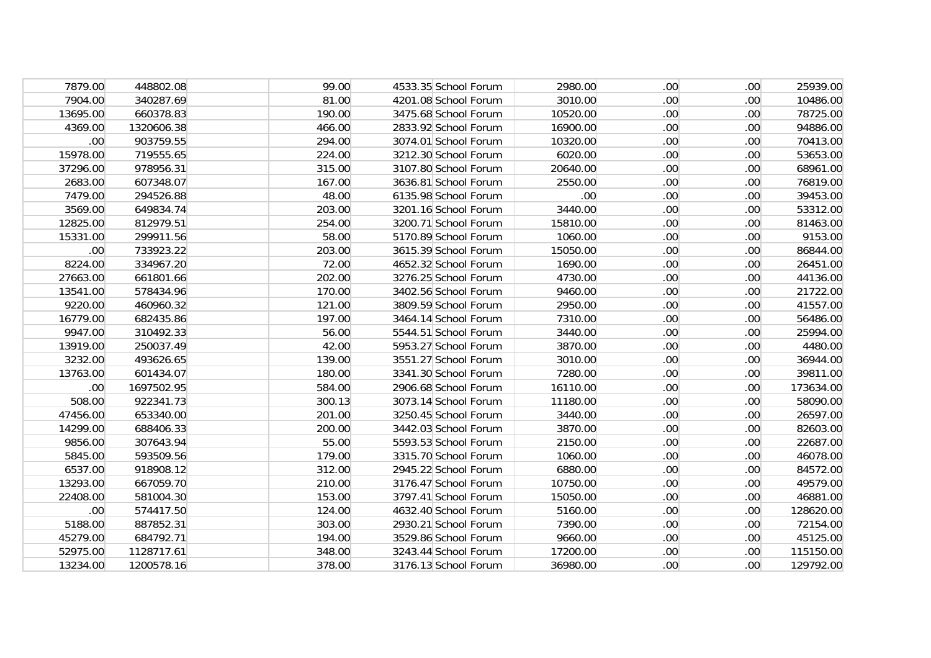| 7879.00          | 448802.08  | 99.00  | 4533.35 School Forum | 2980.00          | .00 <sub>1</sub> | .00.             | 25939.00  |
|------------------|------------|--------|----------------------|------------------|------------------|------------------|-----------|
| 7904.00          | 340287.69  | 81.00  | 4201.08 School Forum | 3010.00          | .00 <sub>1</sub> | .00              | 10486.00  |
| 13695.00         | 660378.83  | 190.00 | 3475.68 School Forum | 10520.00         | .00 <sub>1</sub> | .00              | 78725.00  |
| 4369.00          | 1320606.38 | 466.00 | 2833.92 School Forum | 16900.00         | .00 <sub>1</sub> | .00.             | 94886.00  |
| .00 <sub>1</sub> | 903759.55  | 294.00 | 3074.01 School Forum | 10320.00         | .00 <sub>1</sub> | .00.             | 70413.00  |
| 15978.00         | 719555.65  | 224.00 | 3212.30 School Forum | 6020.00          | .00 <sub>1</sub> | .00              | 53653.00  |
| 37296.00         | 978956.31  | 315.00 | 3107.80 School Forum | 20640.00         | .00 <sub>1</sub> | .00              | 68961.00  |
| 2683.00          | 607348.07  | 167.00 | 3636.81 School Forum | 2550.00          | .00 <sub>1</sub> | .00.             | 76819.00  |
| 7479.00          | 294526.88  | 48.00  | 6135.98 School Forum | .00 <sub>1</sub> | .00 <sub>1</sub> | .00.             | 39453.00  |
| 3569.00          | 649834.74  | 203.00 | 3201.16 School Forum | 3440.00          | .00 <sub>1</sub> | .00 <sub>1</sub> | 53312.00  |
| 12825.00         | 812979.51  | 254.00 | 3200.71 School Forum | 15810.00         | .00 <sub>1</sub> | .00.             | 81463.00  |
| 15331.00         | 299911.56  | 58.00  | 5170.89 School Forum | 1060.00          | .00 <sub>1</sub> | .00 <sub>1</sub> | 9153.00   |
| .00 <sub>1</sub> | 733923.22  | 203.00 | 3615.39 School Forum | 15050.00         | .00 <sub>1</sub> | .00              | 86844.00  |
| 8224.00          | 334967.20  | 72.00  | 4652.32 School Forum | 1690.00          | .00 <sub>1</sub> | .00              | 26451.00  |
| 27663.00         | 661801.66  | 202.00 | 3276.25 School Forum | 4730.00          | .00 <sub>1</sub> | .00.             | 44136.00  |
| 13541.00         | 578434.96  | 170.00 | 3402.56 School Forum | 9460.00          | .00 <sub>1</sub> | .00              | 21722.00  |
| 9220.00          | 460960.32  | 121.00 | 3809.59 School Forum | 2950.00          | .00 <sub>1</sub> | .00              | 41557.00  |
| 16779.00         | 682435.86  | 197.00 | 3464.14 School Forum | 7310.00          | .00 <sub>1</sub> | .00              | 56486.00  |
| 9947.00          | 310492.33  | 56.00  | 5544.51 School Forum | 3440.00          | .00 <sub>1</sub> | .00              | 25994.00  |
| 13919.00         | 250037.49  | 42.00  | 5953.27 School Forum | 3870.00          | .00 <sub>1</sub> | .00 <sub>1</sub> | 4480.00   |
| 3232.00          | 493626.65  | 139.00 | 3551.27 School Forum | 3010.00          | .00 <sub>1</sub> | .00 <sub>1</sub> | 36944.00  |
| 13763.00         | 601434.07  | 180.00 | 3341.30 School Forum | 7280.00          | .00 <sub>1</sub> | .00 <sub>1</sub> | 39811.00  |
| .00 <sub>1</sub> | 1697502.95 | 584.00 | 2906.68 School Forum | 16110.00         | .00 <sub>1</sub> | .00 <sub>1</sub> | 173634.00 |
| 508.00           | 922341.73  | 300.13 | 3073.14 School Forum | 11180.00         | .00 <sub>1</sub> | .00 <sub>1</sub> | 58090.00  |
| 47456.00         | 653340.00  | 201.00 | 3250.45 School Forum | 3440.00          | .00 <sub>1</sub> | .00              | 26597.00  |
| 14299.00         | 688406.33  | 200.00 | 3442.03 School Forum | 3870.00          | .00 <sub>1</sub> | .00              | 82603.00  |
| 9856.00          | 307643.94  | 55.00  | 5593.53 School Forum | 2150.00          | .00 <sub>1</sub> | .00              | 22687.00  |
| 5845.00          | 593509.56  | 179.00 | 3315.70 School Forum | 1060.00          | .00 <sub>1</sub> | .00              | 46078.00  |
| 6537.00          | 918908.12  | 312.00 | 2945.22 School Forum | 6880.00          | .00 <sub>1</sub> | .00 <sub>1</sub> | 84572.00  |
| 13293.00         | 667059.70  | 210.00 | 3176.47 School Forum | 10750.00         | .00 <sub>1</sub> | .00 <sub>1</sub> | 49579.00  |
| 22408.00         | 581004.30  | 153.00 | 3797.41 School Forum | 15050.00         | .00 <sub>1</sub> | .00              | 46881.00  |
| .00 <sub>1</sub> | 574417.50  | 124.00 | 4632.40 School Forum | 5160.00          | .00 <sub>1</sub> | .00              | 128620.00 |
| 5188.00          | 887852.31  | 303.00 | 2930.21 School Forum | 7390.00          | .00 <sub>1</sub> | .00 <sub>1</sub> | 72154.00  |
| 45279.00         | 684792.71  | 194.00 | 3529.86 School Forum | 9660.00          | .00 <sub>1</sub> | .00 <sub>1</sub> | 45125.00  |
| 52975.00         | 1128717.61 | 348.00 | 3243.44 School Forum | 17200.00         | .00 <sub>1</sub> | .00.             | 115150.00 |
| 13234.00         | 1200578.16 | 378.00 | 3176.13 School Forum | 36980.00         | .00 <sub>1</sub> | .00 <sub>1</sub> | 129792.00 |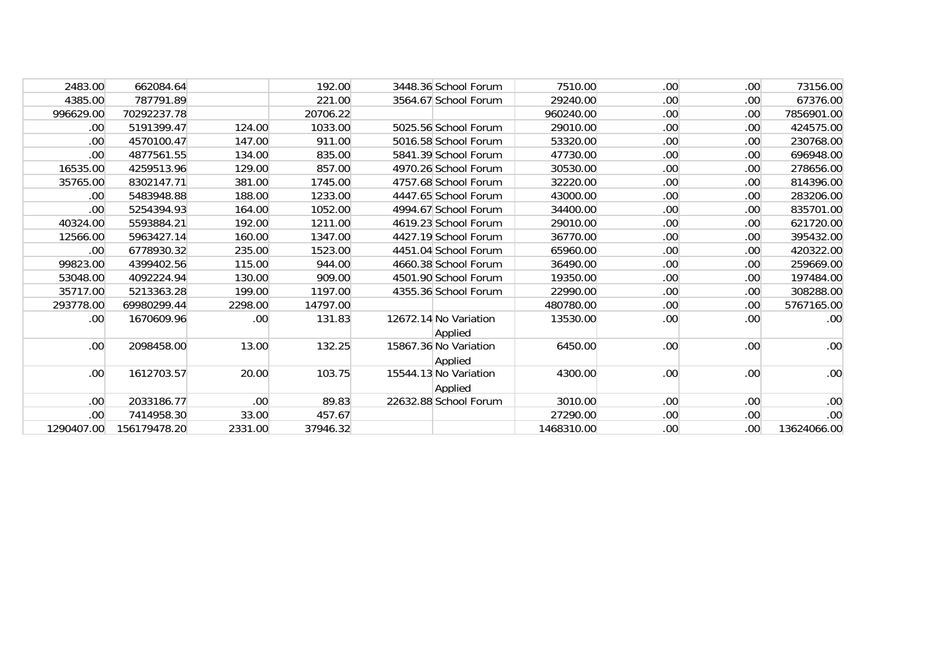| 2483.00          | 662084.64    |         | 192.00   | 3448.36 School Forum             | 7510.00    | .00              | .00  | 73156.00         |
|------------------|--------------|---------|----------|----------------------------------|------------|------------------|------|------------------|
| 4385.00          | 787791.89    |         | 221.00   | 3564.67 School Forum             | 29240.00   | .00              | .00  | 67376.00         |
| 996629.00        | 70292237.78  |         | 20706.22 |                                  | 960240.00  | .00              | .00  | 7856901.00       |
| .00              | 5191399.47   | 124.00  | 1033.00  | 5025.56 School Forum             | 29010.00   | .00              | .00  | 424575.00        |
| .00              | 4570100.47   | 147.00  | 911.00   | 5016.58 School Forum             | 53320.00   | .00              | .00  | 230768.00        |
| .00 <sub>1</sub> | 4877561.55   | 134.00  | 835.00   | 5841.39 School Forum             | 47730.00   | .00              | .00  | 696948.00        |
| 16535.00         | 4259513.96   | 129.00  | 857.00   | 4970.26 School Forum             | 30530.00   | .00              | .00  | 278656.00        |
| 35765.00         | 8302147.71   | 381.00  | 1745.00  | 4757.68 School Forum             | 32220.00   | .00              | .00  | 814396.00        |
| .00              | 5483948.88   | 188.00  | 1233.00  | 4447.65 School Forum             | 43000.00   | .00              | .00. | 283206.00        |
| .00              | 5254394.93   | 164.00  | 1052.00  | 4994.67 School Forum             | 34400.00   | .00              | .00. | 835701.00        |
| 40324.00         | 5593884.21   | 192.00  | 1211.00  | 4619.23 School Forum             | 29010.00   | .00              | .00  | 621720.00        |
| 12566.00         | 5963427.14   | 160.00  | 1347.00  | 4427.19 School Forum             | 36770.00   | .00              | .00  | 395432.00        |
| .00              | 6778930.32   | 235.00  | 1523.00  | 4451.04 School Forum             | 65960.00   | .00              | .00  | 420322.00        |
| 99823.00         | 4399402.56   | 115.00  | 944.00   | 4660.38 School Forum             | 36490.00   | .00              | .00  | 259669.00        |
| 53048.00         | 4092224.94   | 130.00  | 909.00   | 4501.90 School Forum             | 19350.00   | .00              | .00  | 197484.00        |
| 35717.00         | 5213363.28   | 199.00  | 1197.00  | 4355.36 School Forum             | 22990.00   | .00              | .00  | 308288.00        |
| 293778.00        | 69980299.44  | 2298.00 | 14797.00 |                                  | 480780.00  | .00              | .00  | 5767165.00       |
| .00 <sub>1</sub> | 1670609.96   | .00     | 131.83   | 12672.14 No Variation<br>Applied | 13530.00   | .00              | .00. | .00 <sub>1</sub> |
| .00.             | 2098458.00   | 13.00   | 132.25   | 15867.36 No Variation<br>Applied | 6450.00    | .00              | .00  | .00 <sub>1</sub> |
| .00.             | 1612703.57   | 20.00   | 103.75   | 15544.13 No Variation<br>Applied | 4300.00    | .00              | .00  | .00.             |
| .00              | 2033186.77   | .00     | 89.83    | 22632.88 School Forum            | 3010.00    | .00 <sub>1</sub> | .00  | .00 <sub>1</sub> |
| .00              | 7414958.30   | 33.00   | 457.67   |                                  | 27290.00   | .00              | .00  | .00 <sub>1</sub> |
| 1290407.00       | 156179478.20 | 2331.00 | 37946.32 |                                  | 1468310.00 | .00 <sub>1</sub> | .00. | 13624066.00      |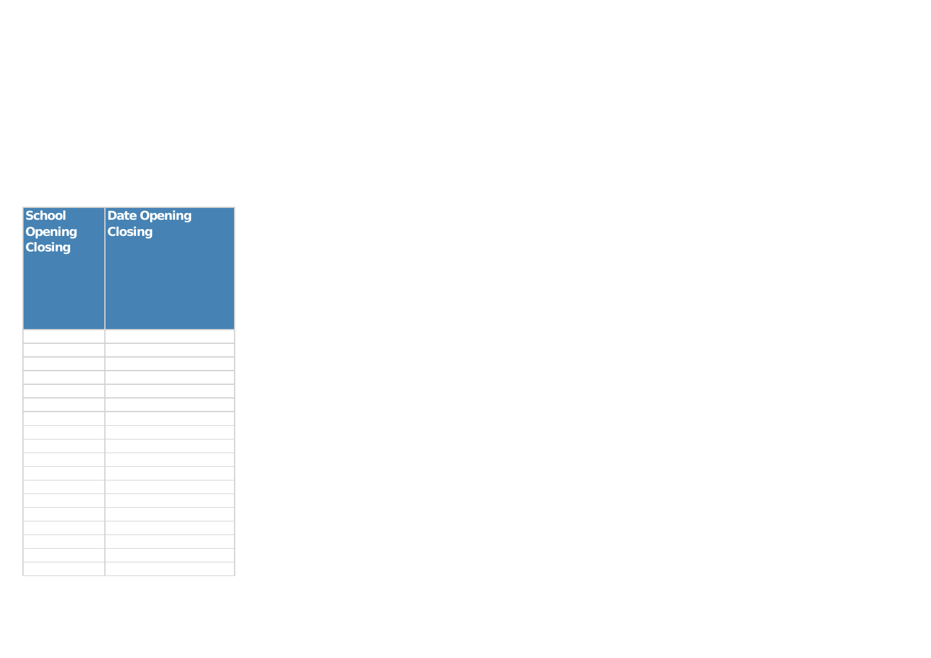| <b>School</b><br><b>Opening</b><br><b>Closing</b> | <b>Date Opening</b><br><b>Closing</b> |
|---------------------------------------------------|---------------------------------------|
|                                                   |                                       |
|                                                   |                                       |
|                                                   |                                       |
|                                                   |                                       |
|                                                   |                                       |
|                                                   |                                       |
|                                                   |                                       |
|                                                   |                                       |
|                                                   |                                       |
|                                                   |                                       |